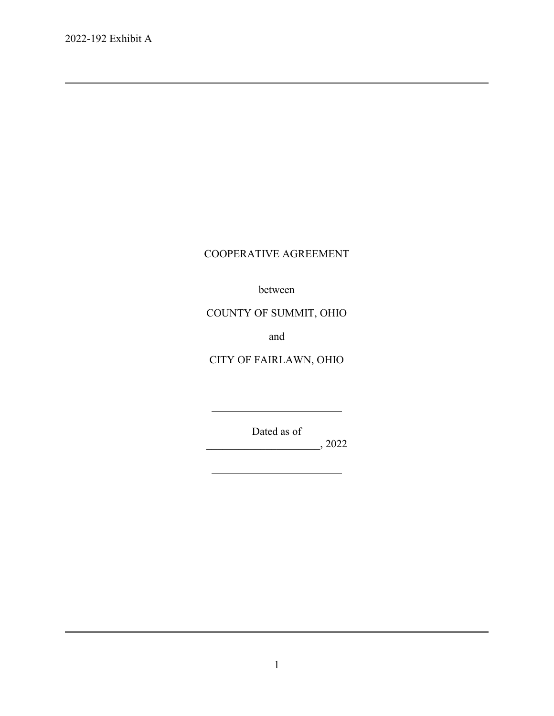$\overline{a}$ 

 $\overline{a}$ 

## COOPERATIVE AGREEMENT

## between

## COUNTY OF SUMMIT, OHIO

and

CITY OF FAIRLAWN, OHIO

Dated as of

 $\overline{a}$ 

 $\overline{a}$ 

 $\frac{1}{2}$ , 2022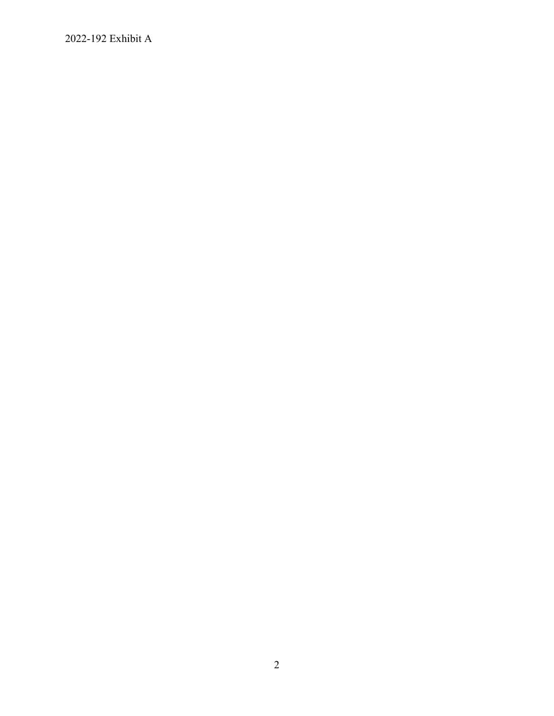2022-192 Exhibit A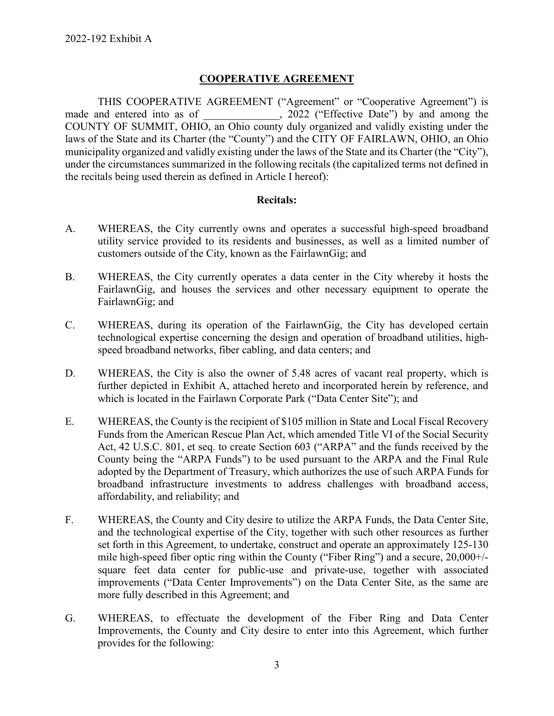## **COOPERATIVE AGREEMENT**

THIS COOPERATIVE AGREEMENT ("Agreement" or "Cooperative Agreement") is made and entered into as of  $\qquad \qquad$ , 2022 ("Effective Date") by and among the COUNTY OF SUMMIT, OHIO, an Ohio county duly organized and validly existing under the laws of the State and its Charter (the "County") and the CITY OF FAIRLAWN, OHIO, an Ohio municipality organized and validly existing under the laws of the State and its Charter (the "City"), under the circumstances summarized in the following recitals (the capitalized terms not defined in the recitals being used therein as defined in Article I hereof):

#### **Recitals:**

- A. WHEREAS, the City currently owns and operates a successful high-speed broadband utility service provided to its residents and businesses, as well as a limited number of customers outside of the City, known as the FairlawnGig; and
- B. WHEREAS, the City currently operates a data center in the City whereby it hosts the FairlawnGig, and houses the services and other necessary equipment to operate the FairlawnGig; and
- C. WHEREAS, during its operation of the FairlawnGig, the City has developed certain technological expertise concerning the design and operation of broadband utilities, highspeed broadband networks, fiber cabling, and data centers; and
- D. WHEREAS, the City is also the owner of 5.48 acres of vacant real property, which is further depicted in Exhibit A, attached hereto and incorporated herein by reference, and which is located in the Fairlawn Corporate Park ("Data Center Site"); and
- E. WHEREAS, the County is the recipient of \$105 million in State and Local Fiscal Recovery Funds from the American Rescue Plan Act, which amended Title VI of the Social Security Act, 42 U.S.C. 801, et seq. to create Section 603 ("ARPA" and the funds received by the County being the "ARPA Funds") to be used pursuant to the ARPA and the Final Rule adopted by the Department of Treasury, which authorizes the use of such ARPA Funds for broadband infrastructure investments to address challenges with broadband access, affordability, and reliability; and
- F. WHEREAS, the County and City desire to utilize the ARPA Funds, the Data Center Site, and the technological expertise of the City, together with such other resources as further set forth in this Agreement, to undertake, construct and operate an approximately 125-130 mile high-speed fiber optic ring within the County ("Fiber Ring") and a secure, 20,000+/ square feet data center for public-use and private-use, together with associated improvements ("Data Center Improvements") on the Data Center Site, as the same are more fully described in this Agreement; and
- G. WHEREAS, to effectuate the development of the Fiber Ring and Data Center Improvements, the County and City desire to enter into this Agreement, which further provides for the following: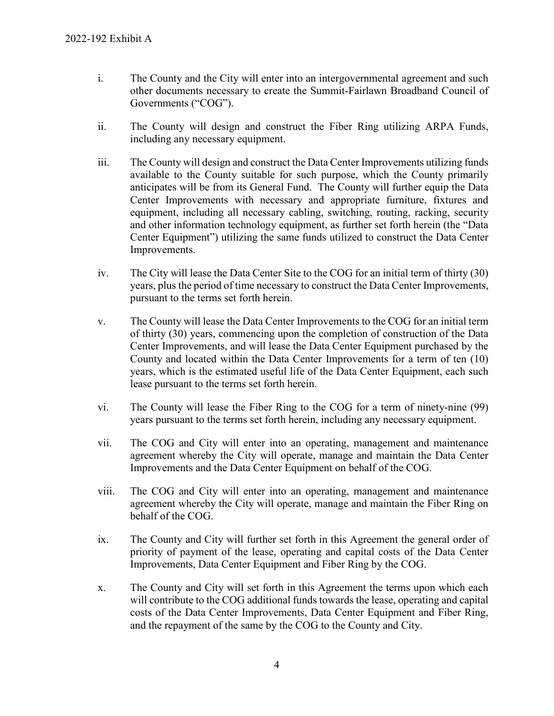- i. The County and the City will enter into an intergovernmental agreement and such other documents necessary to create the Summit-Fairlawn Broadband Council of Governments ("COG").
- ii. The County will design and construct the Fiber Ring utilizing ARPA Funds, including any necessary equipment.
- iii. The County will design and construct the Data Center Improvements utilizing funds available to the County suitable for such purpose, which the County primarily anticipates will be from its General Fund. The County will further equip the Data Center Improvements with necessary and appropriate furniture, fixtures and equipment, including all necessary cabling, switching, routing, racking, security and other information technology equipment, as further set forth herein (the "Data Center Equipment") utilizing the same funds utilized to construct the Data Center Improvements.
- iv. The City will lease the Data Center Site to the COG for an initial term of thirty (30) years, plus the period of time necessary to construct the Data Center Improvements, pursuant to the terms set forth herein.
- v. The County will lease the Data Center Improvements to the COG for an initial term of thirty (30) years, commencing upon the completion of construction of the Data Center Improvements, and will lease the Data Center Equipment purchased by the County and located within the Data Center Improvements for a term of ten (10) years, which is the estimated useful life of the Data Center Equipment, each such lease pursuant to the terms set forth herein.
- vi. The County will lease the Fiber Ring to the COG for a term of ninety-nine (99) years pursuant to the terms set forth herein, including any necessary equipment.
- vii. The COG and City will enter into an operating, management and maintenance agreement whereby the City will operate, manage and maintain the Data Center Improvements and the Data Center Equipment on behalf of the COG.
- viii. The COG and City will enter into an operating, management and maintenance agreement whereby the City will operate, manage and maintain the Fiber Ring on behalf of the COG.
- ix. The County and City will further set forth in this Agreement the general order of priority of payment of the lease, operating and capital costs of the Data Center Improvements, Data Center Equipment and Fiber Ring by the COG.
- x. The County and City will set forth in this Agreement the terms upon which each will contribute to the COG additional funds towards the lease, operating and capital costs of the Data Center Improvements, Data Center Equipment and Fiber Ring, and the repayment of the same by the COG to the County and City.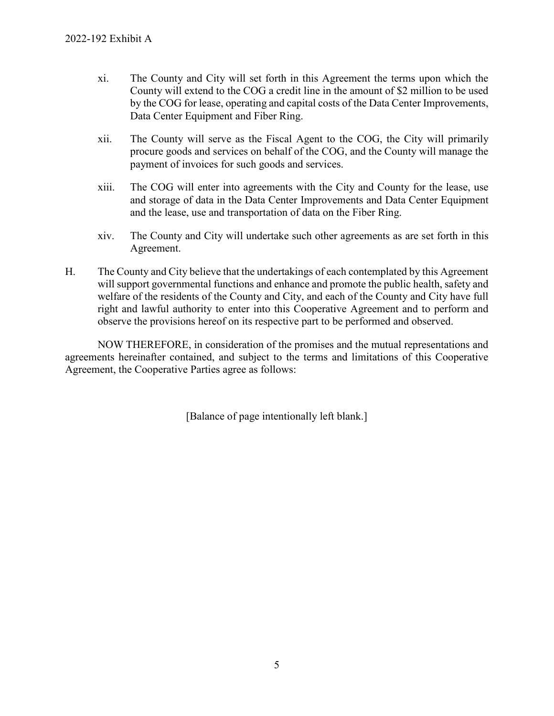- xi. The County and City will set forth in this Agreement the terms upon which the County will extend to the COG a credit line in the amount of \$2 million to be used by the COG for lease, operating and capital costs of the Data Center Improvements, Data Center Equipment and Fiber Ring.
- xii. The County will serve as the Fiscal Agent to the COG, the City will primarily procure goods and services on behalf of the COG, and the County will manage the payment of invoices for such goods and services.
- xiii. The COG will enter into agreements with the City and County for the lease, use and storage of data in the Data Center Improvements and Data Center Equipment and the lease, use and transportation of data on the Fiber Ring.
- xiv. The County and City will undertake such other agreements as are set forth in this Agreement.
- H. The County and City believe that the undertakings of each contemplated by this Agreement will support governmental functions and enhance and promote the public health, safety and welfare of the residents of the County and City, and each of the County and City have full right and lawful authority to enter into this Cooperative Agreement and to perform and observe the provisions hereof on its respective part to be performed and observed.

NOW THEREFORE, in consideration of the promises and the mutual representations and agreements hereinafter contained, and subject to the terms and limitations of this Cooperative Agreement, the Cooperative Parties agree as follows:

[Balance of page intentionally left blank.]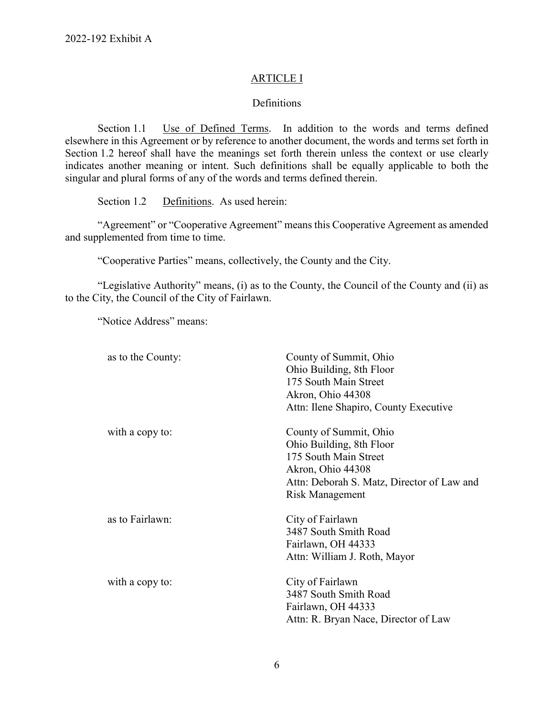## ARTICLE I

#### Definitions

Section 1.1 Use of Defined Terms. In addition to the words and terms defined elsewhere in this Agreement or by reference to another document, the words and terms set forth in Section 1.2 hereof shall have the meanings set forth therein unless the context or use clearly indicates another meaning or intent. Such definitions shall be equally applicable to both the singular and plural forms of any of the words and terms defined therein.

Section 1.2 Definitions. As used herein:

"Agreement" or "Cooperative Agreement" means this Cooperative Agreement as amended and supplemented from time to time.

"Cooperative Parties" means, collectively, the County and the City.

"Legislative Authority" means, (i) as to the County, the Council of the County and (ii) as to the City, the Council of the City of Fairlawn.

"Notice Address" means:

| as to the County: | County of Summit, Ohio<br>Ohio Building, 8th Floor |
|-------------------|----------------------------------------------------|
|                   | 175 South Main Street                              |
|                   | Akron, Ohio 44308                                  |
|                   | Attn: Ilene Shapiro, County Executive              |
| with a copy to:   | County of Summit, Ohio                             |
|                   | Ohio Building, 8th Floor                           |
|                   | 175 South Main Street                              |
|                   | Akron, Ohio 44308                                  |
|                   | Attn: Deborah S. Matz, Director of Law and         |
|                   | Risk Management                                    |
| as to Fairlawn:   | City of Fairlawn                                   |
|                   | 3487 South Smith Road                              |
|                   | Fairlawn, OH 44333                                 |
|                   | Attn: William J. Roth, Mayor                       |
| with a copy to:   | City of Fairlawn                                   |
|                   | 3487 South Smith Road                              |
|                   | Fairlawn, OH 44333                                 |
|                   | Attn: R. Bryan Nace, Director of Law               |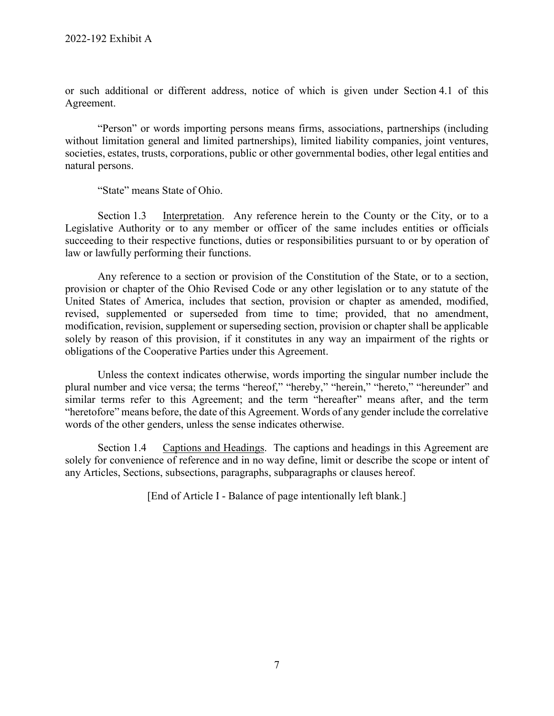or such additional or different address, notice of which is given under Section 4.1 of this Agreement.

"Person" or words importing persons means firms, associations, partnerships (including without limitation general and limited partnerships), limited liability companies, joint ventures, societies, estates, trusts, corporations, public or other governmental bodies, other legal entities and natural persons.

"State" means State of Ohio.

Section 1.3 Interpretation. Any reference herein to the County or the City, or to a Legislative Authority or to any member or officer of the same includes entities or officials succeeding to their respective functions, duties or responsibilities pursuant to or by operation of law or lawfully performing their functions.

Any reference to a section or provision of the Constitution of the State, or to a section, provision or chapter of the Ohio Revised Code or any other legislation or to any statute of the United States of America, includes that section, provision or chapter as amended, modified, revised, supplemented or superseded from time to time; provided, that no amendment, modification, revision, supplement or superseding section, provision or chapter shall be applicable solely by reason of this provision, if it constitutes in any way an impairment of the rights or obligations of the Cooperative Parties under this Agreement.

Unless the context indicates otherwise, words importing the singular number include the plural number and vice versa; the terms "hereof," "hereby," "herein," "hereto," "hereunder" and similar terms refer to this Agreement; and the term "hereafter" means after, and the term "heretofore" means before, the date of this Agreement. Words of any gender include the correlative words of the other genders, unless the sense indicates otherwise.

Section 1.4 Captions and Headings. The captions and headings in this Agreement are solely for convenience of reference and in no way define, limit or describe the scope or intent of any Articles, Sections, subsections, paragraphs, subparagraphs or clauses hereof.

[End of Article I - Balance of page intentionally left blank.]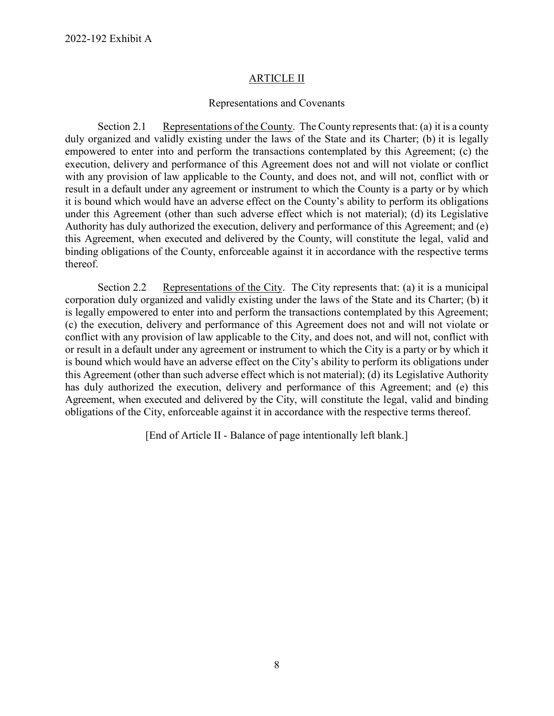## ARTICLE II

#### Representations and Covenants

Section 2.1 Representations of the County. The County represents that: (a) it is a county duly organized and validly existing under the laws of the State and its Charter; (b) it is legally empowered to enter into and perform the transactions contemplated by this Agreement; (c) the execution, delivery and performance of this Agreement does not and will not violate or conflict with any provision of law applicable to the County, and does not, and will not, conflict with or result in a default under any agreement or instrument to which the County is a party or by which it is bound which would have an adverse effect on the County's ability to perform its obligations under this Agreement (other than such adverse effect which is not material); (d) its Legislative Authority has duly authorized the execution, delivery and performance of this Agreement; and (e) this Agreement, when executed and delivered by the County, will constitute the legal, valid and binding obligations of the County, enforceable against it in accordance with the respective terms thereof.

Section 2.2 Representations of the City. The City represents that: (a) it is a municipal corporation duly organized and validly existing under the laws of the State and its Charter; (b) it is legally empowered to enter into and perform the transactions contemplated by this Agreement; (c) the execution, delivery and performance of this Agreement does not and will not violate or conflict with any provision of law applicable to the City, and does not, and will not, conflict with or result in a default under any agreement or instrument to which the City is a party or by which it is bound which would have an adverse effect on the City's ability to perform its obligations under this Agreement (other than such adverse effect which is not material); (d) its Legislative Authority has duly authorized the execution, delivery and performance of this Agreement; and (e) this Agreement, when executed and delivered by the City, will constitute the legal, valid and binding obligations of the City, enforceable against it in accordance with the respective terms thereof.

[End of Article II - Balance of page intentionally left blank.]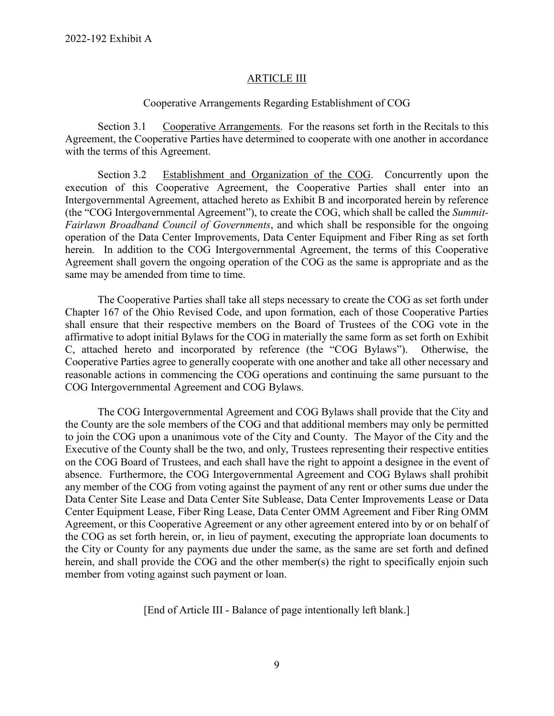## ARTICLE III

#### Cooperative Arrangements Regarding Establishment of COG

Section 3.1 Cooperative Arrangements. For the reasons set forth in the Recitals to this Agreement, the Cooperative Parties have determined to cooperate with one another in accordance with the terms of this Agreement.

 Section 3.2 Establishment and Organization of the COG. Concurrently upon the execution of this Cooperative Agreement, the Cooperative Parties shall enter into an Intergovernmental Agreement, attached hereto as Exhibit B and incorporated herein by reference (the "COG Intergovernmental Agreement"), to create the COG, which shall be called the *Summit-Fairlawn Broadband Council of Governments*, and which shall be responsible for the ongoing operation of the Data Center Improvements, Data Center Equipment and Fiber Ring as set forth herein. In addition to the COG Intergovernmental Agreement, the terms of this Cooperative Agreement shall govern the ongoing operation of the COG as the same is appropriate and as the same may be amended from time to time.

The Cooperative Parties shall take all steps necessary to create the COG as set forth under Chapter 167 of the Ohio Revised Code, and upon formation, each of those Cooperative Parties shall ensure that their respective members on the Board of Trustees of the COG vote in the affirmative to adopt initial Bylaws for the COG in materially the same form as set forth on Exhibit C, attached hereto and incorporated by reference (the "COG Bylaws"). Otherwise, the Cooperative Parties agree to generally cooperate with one another and take all other necessary and reasonable actions in commencing the COG operations and continuing the same pursuant to the COG Intergovernmental Agreement and COG Bylaws.

The COG Intergovernmental Agreement and COG Bylaws shall provide that the City and the County are the sole members of the COG and that additional members may only be permitted to join the COG upon a unanimous vote of the City and County. The Mayor of the City and the Executive of the County shall be the two, and only, Trustees representing their respective entities on the COG Board of Trustees, and each shall have the right to appoint a designee in the event of absence. Furthermore, the COG Intergovernmental Agreement and COG Bylaws shall prohibit any member of the COG from voting against the payment of any rent or other sums due under the Data Center Site Lease and Data Center Site Sublease, Data Center Improvements Lease or Data Center Equipment Lease, Fiber Ring Lease, Data Center OMM Agreement and Fiber Ring OMM Agreement, or this Cooperative Agreement or any other agreement entered into by or on behalf of the COG as set forth herein, or, in lieu of payment, executing the appropriate loan documents to the City or County for any payments due under the same, as the same are set forth and defined herein, and shall provide the COG and the other member(s) the right to specifically enjoin such member from voting against such payment or loan.

[End of Article III - Balance of page intentionally left blank.]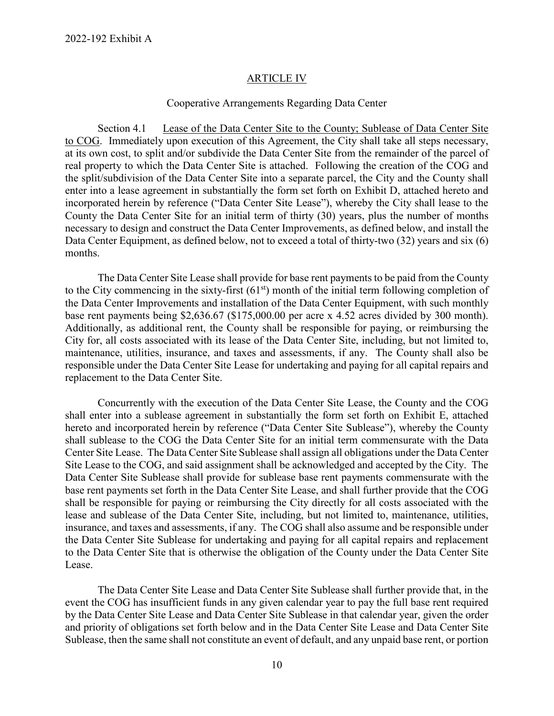#### ARTICLE IV

#### Cooperative Arrangements Regarding Data Center

Section 4.1 Lease of the Data Center Site to the County; Sublease of Data Center Site to COG. Immediately upon execution of this Agreement, the City shall take all steps necessary, at its own cost, to split and/or subdivide the Data Center Site from the remainder of the parcel of real property to which the Data Center Site is attached. Following the creation of the COG and the split/subdivision of the Data Center Site into a separate parcel, the City and the County shall enter into a lease agreement in substantially the form set forth on Exhibit D, attached hereto and incorporated herein by reference ("Data Center Site Lease"), whereby the City shall lease to the County the Data Center Site for an initial term of thirty (30) years, plus the number of months necessary to design and construct the Data Center Improvements, as defined below, and install the Data Center Equipment, as defined below, not to exceed a total of thirty-two (32) years and six (6) months.

The Data Center Site Lease shall provide for base rent payments to be paid from the County to the City commencing in the sixty-first  $(61<sup>st</sup>)$  month of the initial term following completion of the Data Center Improvements and installation of the Data Center Equipment, with such monthly base rent payments being \$2,636.67 (\$175,000.00 per acre x 4.52 acres divided by 300 month). Additionally, as additional rent, the County shall be responsible for paying, or reimbursing the City for, all costs associated with its lease of the Data Center Site, including, but not limited to, maintenance, utilities, insurance, and taxes and assessments, if any. The County shall also be responsible under the Data Center Site Lease for undertaking and paying for all capital repairs and replacement to the Data Center Site.

Concurrently with the execution of the Data Center Site Lease, the County and the COG shall enter into a sublease agreement in substantially the form set forth on Exhibit E, attached hereto and incorporated herein by reference ("Data Center Site Sublease"), whereby the County shall sublease to the COG the Data Center Site for an initial term commensurate with the Data Center Site Lease. The Data Center Site Sublease shall assign all obligations under the Data Center Site Lease to the COG, and said assignment shall be acknowledged and accepted by the City. The Data Center Site Sublease shall provide for sublease base rent payments commensurate with the base rent payments set forth in the Data Center Site Lease, and shall further provide that the COG shall be responsible for paying or reimbursing the City directly for all costs associated with the lease and sublease of the Data Center Site, including, but not limited to, maintenance, utilities, insurance, and taxes and assessments, if any. The COG shall also assume and be responsible under the Data Center Site Sublease for undertaking and paying for all capital repairs and replacement to the Data Center Site that is otherwise the obligation of the County under the Data Center Site Lease.

The Data Center Site Lease and Data Center Site Sublease shall further provide that, in the event the COG has insufficient funds in any given calendar year to pay the full base rent required by the Data Center Site Lease and Data Center Site Sublease in that calendar year, given the order and priority of obligations set forth below and in the Data Center Site Lease and Data Center Site Sublease, then the same shall not constitute an event of default, and any unpaid base rent, or portion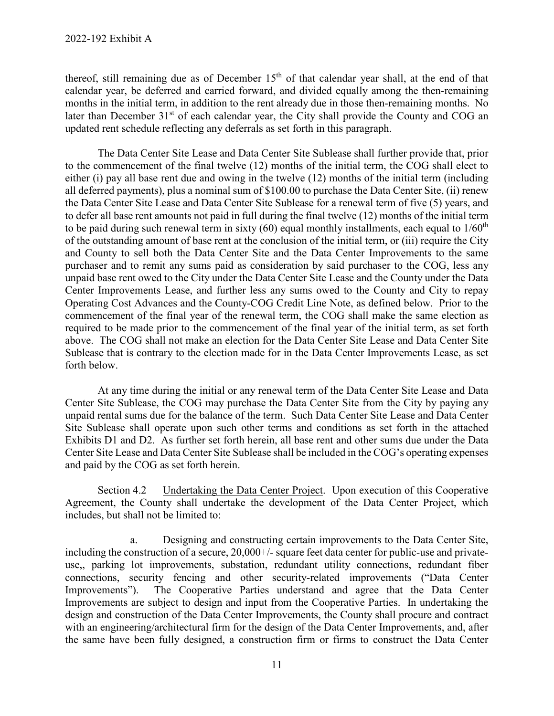thereof, still remaining due as of December  $15<sup>th</sup>$  of that calendar year shall, at the end of that calendar year, be deferred and carried forward, and divided equally among the then-remaining months in the initial term, in addition to the rent already due in those then-remaining months. No later than December  $31<sup>st</sup>$  of each calendar year, the City shall provide the County and COG an updated rent schedule reflecting any deferrals as set forth in this paragraph.

The Data Center Site Lease and Data Center Site Sublease shall further provide that, prior to the commencement of the final twelve (12) months of the initial term, the COG shall elect to either (i) pay all base rent due and owing in the twelve (12) months of the initial term (including all deferred payments), plus a nominal sum of \$100.00 to purchase the Data Center Site, (ii) renew the Data Center Site Lease and Data Center Site Sublease for a renewal term of five (5) years, and to defer all base rent amounts not paid in full during the final twelve (12) months of the initial term to be paid during such renewal term in sixty (60) equal monthly installments, each equal to  $1/60<sup>th</sup>$ of the outstanding amount of base rent at the conclusion of the initial term, or (iii) require the City and County to sell both the Data Center Site and the Data Center Improvements to the same purchaser and to remit any sums paid as consideration by said purchaser to the COG, less any unpaid base rent owed to the City under the Data Center Site Lease and the County under the Data Center Improvements Lease, and further less any sums owed to the County and City to repay Operating Cost Advances and the County-COG Credit Line Note, as defined below. Prior to the commencement of the final year of the renewal term, the COG shall make the same election as required to be made prior to the commencement of the final year of the initial term, as set forth above. The COG shall not make an election for the Data Center Site Lease and Data Center Site Sublease that is contrary to the election made for in the Data Center Improvements Lease, as set forth below.

At any time during the initial or any renewal term of the Data Center Site Lease and Data Center Site Sublease, the COG may purchase the Data Center Site from the City by paying any unpaid rental sums due for the balance of the term. Such Data Center Site Lease and Data Center Site Sublease shall operate upon such other terms and conditions as set forth in the attached Exhibits D1 and D2. As further set forth herein, all base rent and other sums due under the Data Center Site Lease and Data Center Site Sublease shall be included in the COG's operating expenses and paid by the COG as set forth herein.

Section 4.2 Undertaking the Data Center Project. Upon execution of this Cooperative Agreement, the County shall undertake the development of the Data Center Project, which includes, but shall not be limited to:

a. Designing and constructing certain improvements to the Data Center Site, including the construction of a secure, 20,000+/- square feet data center for public-use and privateuse,, parking lot improvements, substation, redundant utility connections, redundant fiber connections, security fencing and other security-related improvements ("Data Center Improvements"). The Cooperative Parties understand and agree that the Data Center Improvements are subject to design and input from the Cooperative Parties. In undertaking the design and construction of the Data Center Improvements, the County shall procure and contract with an engineering/architectural firm for the design of the Data Center Improvements, and, after the same have been fully designed, a construction firm or firms to construct the Data Center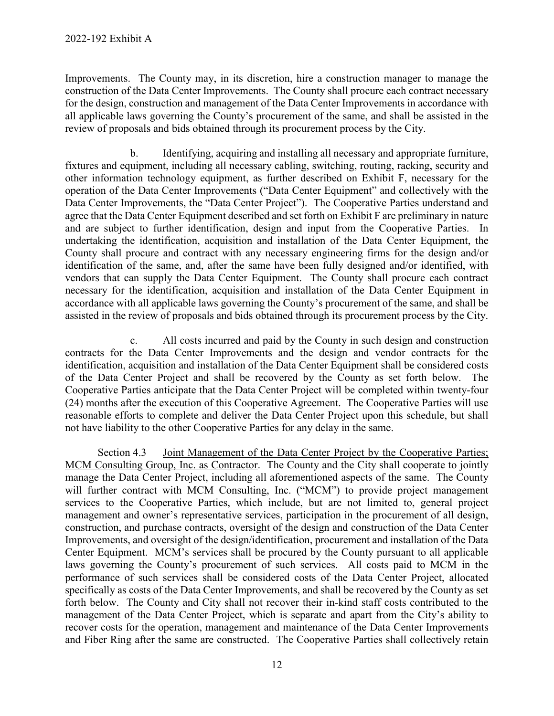Improvements. The County may, in its discretion, hire a construction manager to manage the construction of the Data Center Improvements. The County shall procure each contract necessary for the design, construction and management of the Data Center Improvements in accordance with all applicable laws governing the County's procurement of the same, and shall be assisted in the review of proposals and bids obtained through its procurement process by the City.

 b. Identifying, acquiring and installing all necessary and appropriate furniture, fixtures and equipment, including all necessary cabling, switching, routing, racking, security and other information technology equipment, as further described on Exhibit F, necessary for the operation of the Data Center Improvements ("Data Center Equipment" and collectively with the Data Center Improvements, the "Data Center Project"). The Cooperative Parties understand and agree that the Data Center Equipment described and set forth on Exhibit F are preliminary in nature and are subject to further identification, design and input from the Cooperative Parties. In undertaking the identification, acquisition and installation of the Data Center Equipment, the County shall procure and contract with any necessary engineering firms for the design and/or identification of the same, and, after the same have been fully designed and/or identified, with vendors that can supply the Data Center Equipment. The County shall procure each contract necessary for the identification, acquisition and installation of the Data Center Equipment in accordance with all applicable laws governing the County's procurement of the same, and shall be assisted in the review of proposals and bids obtained through its procurement process by the City.

 c. All costs incurred and paid by the County in such design and construction contracts for the Data Center Improvements and the design and vendor contracts for the identification, acquisition and installation of the Data Center Equipment shall be considered costs of the Data Center Project and shall be recovered by the County as set forth below. The Cooperative Parties anticipate that the Data Center Project will be completed within twenty-four (24) months after the execution of this Cooperative Agreement. The Cooperative Parties will use reasonable efforts to complete and deliver the Data Center Project upon this schedule, but shall not have liability to the other Cooperative Parties for any delay in the same.

Section 4.3 Joint Management of the Data Center Project by the Cooperative Parties; MCM Consulting Group, Inc. as Contractor. The County and the City shall cooperate to jointly manage the Data Center Project, including all aforementioned aspects of the same. The County will further contract with MCM Consulting, Inc. ("MCM") to provide project management services to the Cooperative Parties, which include, but are not limited to, general project management and owner's representative services, participation in the procurement of all design, construction, and purchase contracts, oversight of the design and construction of the Data Center Improvements, and oversight of the design/identification, procurement and installation of the Data Center Equipment. MCM's services shall be procured by the County pursuant to all applicable laws governing the County's procurement of such services. All costs paid to MCM in the performance of such services shall be considered costs of the Data Center Project, allocated specifically as costs of the Data Center Improvements, and shall be recovered by the County as set forth below. The County and City shall not recover their in-kind staff costs contributed to the management of the Data Center Project, which is separate and apart from the City's ability to recover costs for the operation, management and maintenance of the Data Center Improvements and Fiber Ring after the same are constructed. The Cooperative Parties shall collectively retain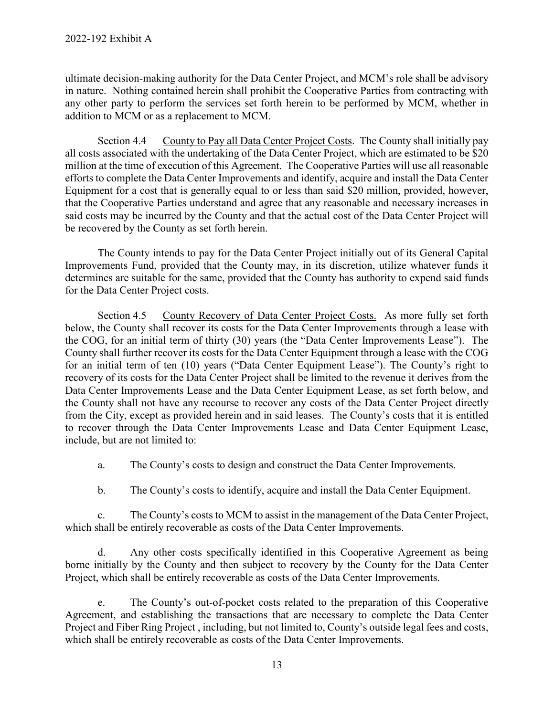ultimate decision-making authority for the Data Center Project, and MCM's role shall be advisory in nature. Nothing contained herein shall prohibit the Cooperative Parties from contracting with any other party to perform the services set forth herein to be performed by MCM, whether in addition to MCM or as a replacement to MCM.

Section 4.4 County to Pay all Data Center Project Costs. The County shall initially pay all costs associated with the undertaking of the Data Center Project, which are estimated to be \$20 million at the time of execution of this Agreement. The Cooperative Parties will use all reasonable efforts to complete the Data Center Improvements and identify, acquire and install the Data Center Equipment for a cost that is generally equal to or less than said \$20 million, provided, however, that the Cooperative Parties understand and agree that any reasonable and necessary increases in said costs may be incurred by the County and that the actual cost of the Data Center Project will be recovered by the County as set forth herein.

The County intends to pay for the Data Center Project initially out of its General Capital Improvements Fund, provided that the County may, in its discretion, utilize whatever funds it determines are suitable for the same, provided that the County has authority to expend said funds for the Data Center Project costs.

Section 4.5 County Recovery of Data Center Project Costs. As more fully set forth below, the County shall recover its costs for the Data Center Improvements through a lease with the COG, for an initial term of thirty (30) years (the "Data Center Improvements Lease"). The County shall further recover its costs for the Data Center Equipment through a lease with the COG for an initial term of ten (10) years ("Data Center Equipment Lease"). The County's right to recovery of its costs for the Data Center Project shall be limited to the revenue it derives from the Data Center Improvements Lease and the Data Center Equipment Lease, as set forth below, and the County shall not have any recourse to recover any costs of the Data Center Project directly from the City, except as provided herein and in said leases. The County's costs that it is entitled to recover through the Data Center Improvements Lease and Data Center Equipment Lease, include, but are not limited to:

a. The County's costs to design and construct the Data Center Improvements.

b. The County's costs to identify, acquire and install the Data Center Equipment.

c. The County's costs to MCM to assist in the management of the Data Center Project, which shall be entirely recoverable as costs of the Data Center Improvements.

d. Any other costs specifically identified in this Cooperative Agreement as being borne initially by the County and then subject to recovery by the County for the Data Center Project, which shall be entirely recoverable as costs of the Data Center Improvements.

e. The County's out-of-pocket costs related to the preparation of this Cooperative Agreement, and establishing the transactions that are necessary to complete the Data Center Project and Fiber Ring Project , including, but not limited to, County's outside legal fees and costs, which shall be entirely recoverable as costs of the Data Center Improvements.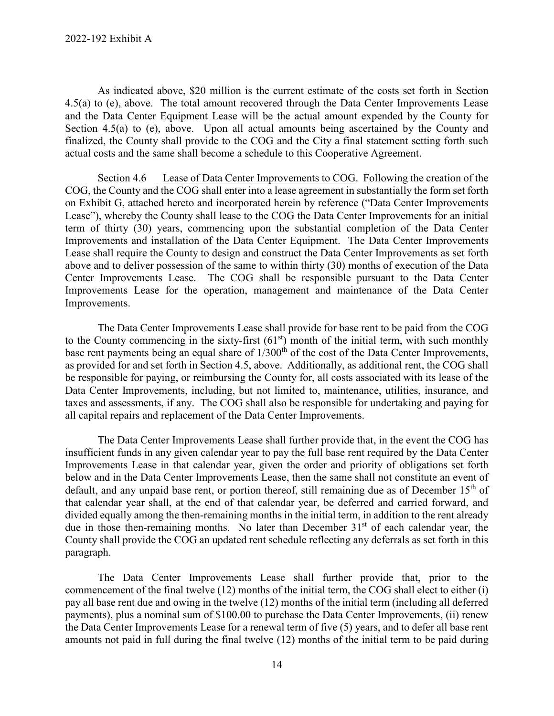As indicated above, \$20 million is the current estimate of the costs set forth in Section 4.5(a) to (e), above. The total amount recovered through the Data Center Improvements Lease and the Data Center Equipment Lease will be the actual amount expended by the County for Section 4.5(a) to (e), above. Upon all actual amounts being ascertained by the County and finalized, the County shall provide to the COG and the City a final statement setting forth such actual costs and the same shall become a schedule to this Cooperative Agreement.

Section 4.6 Lease of Data Center Improvements to COG. Following the creation of the COG, the County and the COG shall enter into a lease agreement in substantially the form set forth on Exhibit G, attached hereto and incorporated herein by reference ("Data Center Improvements Lease"), whereby the County shall lease to the COG the Data Center Improvements for an initial term of thirty (30) years, commencing upon the substantial completion of the Data Center Improvements and installation of the Data Center Equipment. The Data Center Improvements Lease shall require the County to design and construct the Data Center Improvements as set forth above and to deliver possession of the same to within thirty (30) months of execution of the Data Center Improvements Lease. The COG shall be responsible pursuant to the Data Center Improvements Lease for the operation, management and maintenance of the Data Center Improvements.

The Data Center Improvements Lease shall provide for base rent to be paid from the COG to the County commencing in the sixty-first  $(61<sup>st</sup>)$  month of the initial term, with such monthly base rent payments being an equal share of  $1/300^{th}$  of the cost of the Data Center Improvements, as provided for and set forth in Section 4.5, above. Additionally, as additional rent, the COG shall be responsible for paying, or reimbursing the County for, all costs associated with its lease of the Data Center Improvements, including, but not limited to, maintenance, utilities, insurance, and taxes and assessments, if any. The COG shall also be responsible for undertaking and paying for all capital repairs and replacement of the Data Center Improvements.

The Data Center Improvements Lease shall further provide that, in the event the COG has insufficient funds in any given calendar year to pay the full base rent required by the Data Center Improvements Lease in that calendar year, given the order and priority of obligations set forth below and in the Data Center Improvements Lease, then the same shall not constitute an event of default, and any unpaid base rent, or portion thereof, still remaining due as of December  $15<sup>th</sup>$  of that calendar year shall, at the end of that calendar year, be deferred and carried forward, and divided equally among the then-remaining months in the initial term, in addition to the rent already due in those then-remaining months. No later than December  $31<sup>st</sup>$  of each calendar year, the County shall provide the COG an updated rent schedule reflecting any deferrals as set forth in this paragraph.

The Data Center Improvements Lease shall further provide that, prior to the commencement of the final twelve (12) months of the initial term, the COG shall elect to either (i) pay all base rent due and owing in the twelve (12) months of the initial term (including all deferred payments), plus a nominal sum of \$100.00 to purchase the Data Center Improvements, (ii) renew the Data Center Improvements Lease for a renewal term of five (5) years, and to defer all base rent amounts not paid in full during the final twelve (12) months of the initial term to be paid during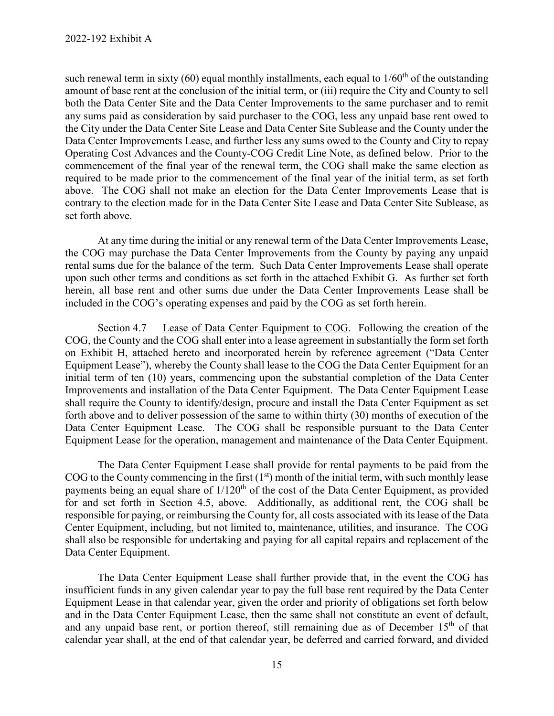such renewal term in sixty (60) equal monthly installments, each equal to  $1/60<sup>th</sup>$  of the outstanding amount of base rent at the conclusion of the initial term, or (iii) require the City and County to sell both the Data Center Site and the Data Center Improvements to the same purchaser and to remit any sums paid as consideration by said purchaser to the COG, less any unpaid base rent owed to the City under the Data Center Site Lease and Data Center Site Sublease and the County under the Data Center Improvements Lease, and further less any sums owed to the County and City to repay Operating Cost Advances and the County-COG Credit Line Note, as defined below. Prior to the commencement of the final year of the renewal term, the COG shall make the same election as required to be made prior to the commencement of the final year of the initial term, as set forth above. The COG shall not make an election for the Data Center Improvements Lease that is contrary to the election made for in the Data Center Site Lease and Data Center Site Sublease, as set forth above.

At any time during the initial or any renewal term of the Data Center Improvements Lease, the COG may purchase the Data Center Improvements from the County by paying any unpaid rental sums due for the balance of the term. Such Data Center Improvements Lease shall operate upon such other terms and conditions as set forth in the attached Exhibit G. As further set forth herein, all base rent and other sums due under the Data Center Improvements Lease shall be included in the COG's operating expenses and paid by the COG as set forth herein.

Section 4.7 Lease of Data Center Equipment to COG. Following the creation of the COG, the County and the COG shall enter into a lease agreement in substantially the form set forth on Exhibit H, attached hereto and incorporated herein by reference agreement ("Data Center Equipment Lease"), whereby the County shall lease to the COG the Data Center Equipment for an initial term of ten (10) years, commencing upon the substantial completion of the Data Center Improvements and installation of the Data Center Equipment. The Data Center Equipment Lease shall require the County to identify/design, procure and install the Data Center Equipment as set forth above and to deliver possession of the same to within thirty (30) months of execution of the Data Center Equipment Lease. The COG shall be responsible pursuant to the Data Center Equipment Lease for the operation, management and maintenance of the Data Center Equipment.

The Data Center Equipment Lease shall provide for rental payments to be paid from the COG to the County commencing in the first  $(1<sup>st</sup>)$  month of the initial term, with such monthly lease payments being an equal share of  $1/120<sup>th</sup>$  of the cost of the Data Center Equipment, as provided for and set forth in Section 4.5, above. Additionally, as additional rent, the COG shall be responsible for paying, or reimbursing the County for, all costs associated with its lease of the Data Center Equipment, including, but not limited to, maintenance, utilities, and insurance. The COG shall also be responsible for undertaking and paying for all capital repairs and replacement of the Data Center Equipment.

The Data Center Equipment Lease shall further provide that, in the event the COG has insufficient funds in any given calendar year to pay the full base rent required by the Data Center Equipment Lease in that calendar year, given the order and priority of obligations set forth below and in the Data Center Equipment Lease, then the same shall not constitute an event of default, and any unpaid base rent, or portion thereof, still remaining due as of December  $15<sup>th</sup>$  of that calendar year shall, at the end of that calendar year, be deferred and carried forward, and divided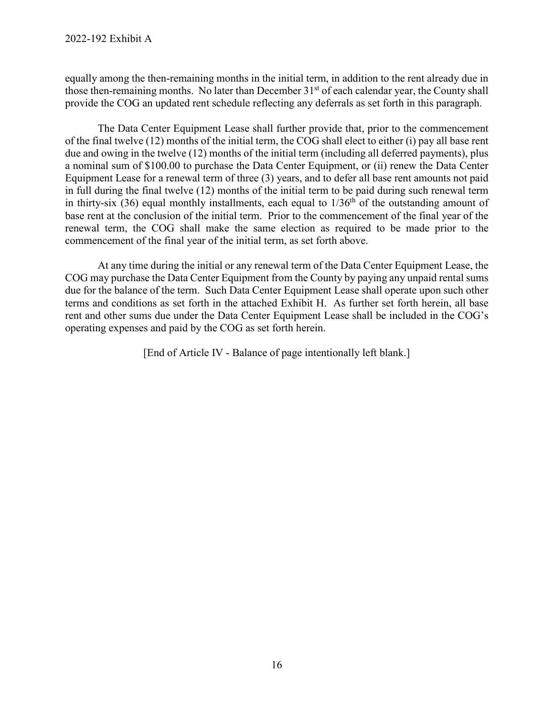equally among the then-remaining months in the initial term, in addition to the rent already due in those then-remaining months. No later than December  $31<sup>st</sup>$  of each calendar year, the County shall provide the COG an updated rent schedule reflecting any deferrals as set forth in this paragraph.

The Data Center Equipment Lease shall further provide that, prior to the commencement of the final twelve (12) months of the initial term, the COG shall elect to either (i) pay all base rent due and owing in the twelve (12) months of the initial term (including all deferred payments), plus a nominal sum of \$100.00 to purchase the Data Center Equipment, or (ii) renew the Data Center Equipment Lease for a renewal term of three (3) years, and to defer all base rent amounts not paid in full during the final twelve (12) months of the initial term to be paid during such renewal term in thirty-six (36) equal monthly installments, each equal to  $1/36<sup>th</sup>$  of the outstanding amount of base rent at the conclusion of the initial term. Prior to the commencement of the final year of the renewal term, the COG shall make the same election as required to be made prior to the commencement of the final year of the initial term, as set forth above.

At any time during the initial or any renewal term of the Data Center Equipment Lease, the COG may purchase the Data Center Equipment from the County by paying any unpaid rental sums due for the balance of the term. Such Data Center Equipment Lease shall operate upon such other terms and conditions as set forth in the attached Exhibit H. As further set forth herein, all base rent and other sums due under the Data Center Equipment Lease shall be included in the COG's operating expenses and paid by the COG as set forth herein.

[End of Article IV - Balance of page intentionally left blank.]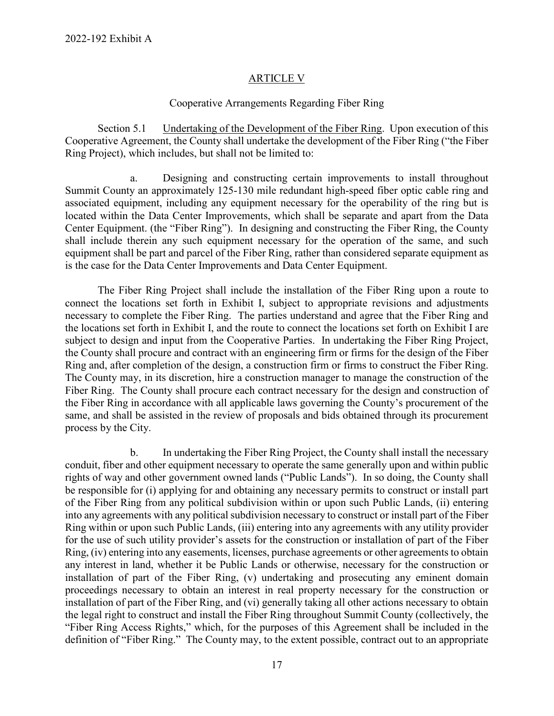## ARTICLE V

#### Cooperative Arrangements Regarding Fiber Ring

Section 5.1 Undertaking of the Development of the Fiber Ring. Upon execution of this Cooperative Agreement, the County shall undertake the development of the Fiber Ring ("the Fiber Ring Project), which includes, but shall not be limited to:

a. Designing and constructing certain improvements to install throughout Summit County an approximately 125-130 mile redundant high-speed fiber optic cable ring and associated equipment, including any equipment necessary for the operability of the ring but is located within the Data Center Improvements, which shall be separate and apart from the Data Center Equipment. (the "Fiber Ring"). In designing and constructing the Fiber Ring, the County shall include therein any such equipment necessary for the operation of the same, and such equipment shall be part and parcel of the Fiber Ring, rather than considered separate equipment as is the case for the Data Center Improvements and Data Center Equipment.

The Fiber Ring Project shall include the installation of the Fiber Ring upon a route to connect the locations set forth in Exhibit I, subject to appropriate revisions and adjustments necessary to complete the Fiber Ring. The parties understand and agree that the Fiber Ring and the locations set forth in Exhibit I, and the route to connect the locations set forth on Exhibit I are subject to design and input from the Cooperative Parties. In undertaking the Fiber Ring Project, the County shall procure and contract with an engineering firm or firms for the design of the Fiber Ring and, after completion of the design, a construction firm or firms to construct the Fiber Ring. The County may, in its discretion, hire a construction manager to manage the construction of the Fiber Ring. The County shall procure each contract necessary for the design and construction of the Fiber Ring in accordance with all applicable laws governing the County's procurement of the same, and shall be assisted in the review of proposals and bids obtained through its procurement process by the City.

 b. In undertaking the Fiber Ring Project, the County shall install the necessary conduit, fiber and other equipment necessary to operate the same generally upon and within public rights of way and other government owned lands ("Public Lands"). In so doing, the County shall be responsible for (i) applying for and obtaining any necessary permits to construct or install part of the Fiber Ring from any political subdivision within or upon such Public Lands, (ii) entering into any agreements with any political subdivision necessary to construct or install part of the Fiber Ring within or upon such Public Lands, (iii) entering into any agreements with any utility provider for the use of such utility provider's assets for the construction or installation of part of the Fiber Ring, (iv) entering into any easements, licenses, purchase agreements or other agreements to obtain any interest in land, whether it be Public Lands or otherwise, necessary for the construction or installation of part of the Fiber Ring, (v) undertaking and prosecuting any eminent domain proceedings necessary to obtain an interest in real property necessary for the construction or installation of part of the Fiber Ring, and (vi) generally taking all other actions necessary to obtain the legal right to construct and install the Fiber Ring throughout Summit County (collectively, the "Fiber Ring Access Rights," which, for the purposes of this Agreement shall be included in the definition of "Fiber Ring." The County may, to the extent possible, contract out to an appropriate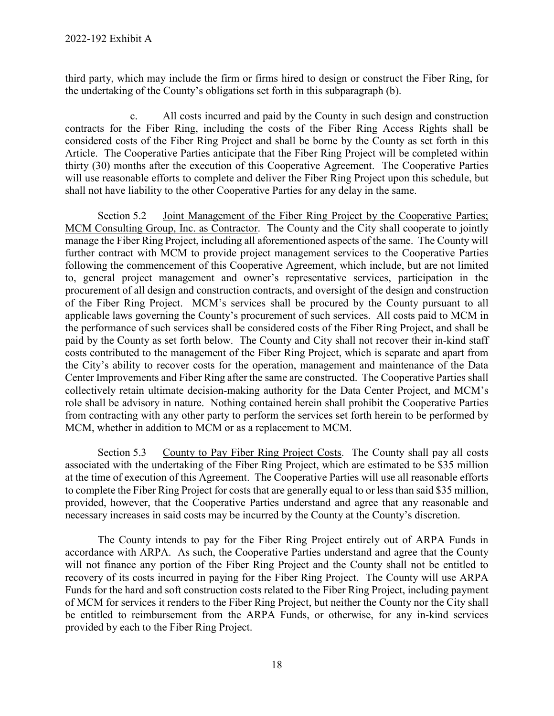third party, which may include the firm or firms hired to design or construct the Fiber Ring, for the undertaking of the County's obligations set forth in this subparagraph (b).

 c. All costs incurred and paid by the County in such design and construction contracts for the Fiber Ring, including the costs of the Fiber Ring Access Rights shall be considered costs of the Fiber Ring Project and shall be borne by the County as set forth in this Article. The Cooperative Parties anticipate that the Fiber Ring Project will be completed within thirty (30) months after the execution of this Cooperative Agreement. The Cooperative Parties will use reasonable efforts to complete and deliver the Fiber Ring Project upon this schedule, but shall not have liability to the other Cooperative Parties for any delay in the same.

Section 5.2 Joint Management of the Fiber Ring Project by the Cooperative Parties; MCM Consulting Group, Inc. as Contractor. The County and the City shall cooperate to jointly manage the Fiber Ring Project, including all aforementioned aspects of the same. The County will further contract with MCM to provide project management services to the Cooperative Parties following the commencement of this Cooperative Agreement, which include, but are not limited to, general project management and owner's representative services, participation in the procurement of all design and construction contracts, and oversight of the design and construction of the Fiber Ring Project. MCM's services shall be procured by the County pursuant to all applicable laws governing the County's procurement of such services. All costs paid to MCM in the performance of such services shall be considered costs of the Fiber Ring Project, and shall be paid by the County as set forth below. The County and City shall not recover their in-kind staff costs contributed to the management of the Fiber Ring Project, which is separate and apart from the City's ability to recover costs for the operation, management and maintenance of the Data Center Improvements and Fiber Ring after the same are constructed. The Cooperative Parties shall collectively retain ultimate decision-making authority for the Data Center Project, and MCM's role shall be advisory in nature. Nothing contained herein shall prohibit the Cooperative Parties from contracting with any other party to perform the services set forth herein to be performed by MCM, whether in addition to MCM or as a replacement to MCM.

Section 5.3 County to Pay Fiber Ring Project Costs. The County shall pay all costs associated with the undertaking of the Fiber Ring Project, which are estimated to be \$35 million at the time of execution of this Agreement. The Cooperative Parties will use all reasonable efforts to complete the Fiber Ring Project for costs that are generally equal to or less than said \$35 million, provided, however, that the Cooperative Parties understand and agree that any reasonable and necessary increases in said costs may be incurred by the County at the County's discretion.

The County intends to pay for the Fiber Ring Project entirely out of ARPA Funds in accordance with ARPA. As such, the Cooperative Parties understand and agree that the County will not finance any portion of the Fiber Ring Project and the County shall not be entitled to recovery of its costs incurred in paying for the Fiber Ring Project. The County will use ARPA Funds for the hard and soft construction costs related to the Fiber Ring Project, including payment of MCM for services it renders to the Fiber Ring Project, but neither the County nor the City shall be entitled to reimbursement from the ARPA Funds, or otherwise, for any in-kind services provided by each to the Fiber Ring Project.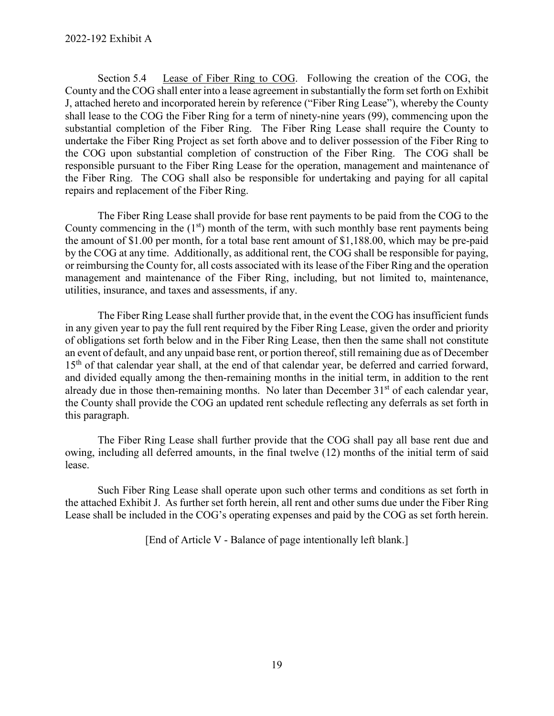Section 5.4 Lease of Fiber Ring to COG. Following the creation of the COG, the County and the COG shall enter into a lease agreement in substantially the form set forth on Exhibit J, attached hereto and incorporated herein by reference ("Fiber Ring Lease"), whereby the County shall lease to the COG the Fiber Ring for a term of ninety-nine years (99), commencing upon the substantial completion of the Fiber Ring. The Fiber Ring Lease shall require the County to undertake the Fiber Ring Project as set forth above and to deliver possession of the Fiber Ring to the COG upon substantial completion of construction of the Fiber Ring. The COG shall be responsible pursuant to the Fiber Ring Lease for the operation, management and maintenance of the Fiber Ring. The COG shall also be responsible for undertaking and paying for all capital repairs and replacement of the Fiber Ring.

The Fiber Ring Lease shall provide for base rent payments to be paid from the COG to the County commencing in the  $(1<sup>st</sup>)$  month of the term, with such monthly base rent payments being the amount of \$1.00 per month, for a total base rent amount of \$1,188.00, which may be pre-paid by the COG at any time. Additionally, as additional rent, the COG shall be responsible for paying, or reimbursing the County for, all costs associated with its lease of the Fiber Ring and the operation management and maintenance of the Fiber Ring, including, but not limited to, maintenance, utilities, insurance, and taxes and assessments, if any.

The Fiber Ring Lease shall further provide that, in the event the COG has insufficient funds in any given year to pay the full rent required by the Fiber Ring Lease, given the order and priority of obligations set forth below and in the Fiber Ring Lease, then then the same shall not constitute an event of default, and any unpaid base rent, or portion thereof, still remaining due as of December 15<sup>th</sup> of that calendar year shall, at the end of that calendar year, be deferred and carried forward, and divided equally among the then-remaining months in the initial term, in addition to the rent already due in those then-remaining months. No later than December  $31<sup>st</sup>$  of each calendar year, the County shall provide the COG an updated rent schedule reflecting any deferrals as set forth in this paragraph.

The Fiber Ring Lease shall further provide that the COG shall pay all base rent due and owing, including all deferred amounts, in the final twelve (12) months of the initial term of said lease.

Such Fiber Ring Lease shall operate upon such other terms and conditions as set forth in the attached Exhibit J. As further set forth herein, all rent and other sums due under the Fiber Ring Lease shall be included in the COG's operating expenses and paid by the COG as set forth herein.

[End of Article V - Balance of page intentionally left blank.]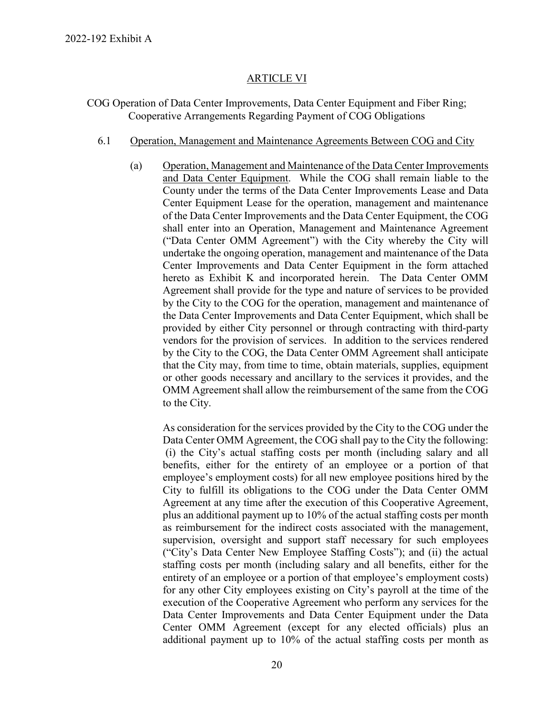## ARTICLE VI

- COG Operation of Data Center Improvements, Data Center Equipment and Fiber Ring; Cooperative Arrangements Regarding Payment of COG Obligations
	- 6.1 Operation, Management and Maintenance Agreements Between COG and City
		- (a) Operation, Management and Maintenance of the Data Center Improvements and Data Center Equipment. While the COG shall remain liable to the County under the terms of the Data Center Improvements Lease and Data Center Equipment Lease for the operation, management and maintenance of the Data Center Improvements and the Data Center Equipment, the COG shall enter into an Operation, Management and Maintenance Agreement ("Data Center OMM Agreement") with the City whereby the City will undertake the ongoing operation, management and maintenance of the Data Center Improvements and Data Center Equipment in the form attached hereto as Exhibit K and incorporated herein. The Data Center OMM Agreement shall provide for the type and nature of services to be provided by the City to the COG for the operation, management and maintenance of the Data Center Improvements and Data Center Equipment, which shall be provided by either City personnel or through contracting with third-party vendors for the provision of services. In addition to the services rendered by the City to the COG, the Data Center OMM Agreement shall anticipate that the City may, from time to time, obtain materials, supplies, equipment or other goods necessary and ancillary to the services it provides, and the OMM Agreement shall allow the reimbursement of the same from the COG to the City.

As consideration for the services provided by the City to the COG under the Data Center OMM Agreement, the COG shall pay to the City the following: (i) the City's actual staffing costs per month (including salary and all benefits, either for the entirety of an employee or a portion of that employee's employment costs) for all new employee positions hired by the City to fulfill its obligations to the COG under the Data Center OMM Agreement at any time after the execution of this Cooperative Agreement, plus an additional payment up to 10% of the actual staffing costs per month as reimbursement for the indirect costs associated with the management, supervision, oversight and support staff necessary for such employees ("City's Data Center New Employee Staffing Costs"); and (ii) the actual staffing costs per month (including salary and all benefits, either for the entirety of an employee or a portion of that employee's employment costs) for any other City employees existing on City's payroll at the time of the execution of the Cooperative Agreement who perform any services for the Data Center Improvements and Data Center Equipment under the Data Center OMM Agreement (except for any elected officials) plus an additional payment up to 10% of the actual staffing costs per month as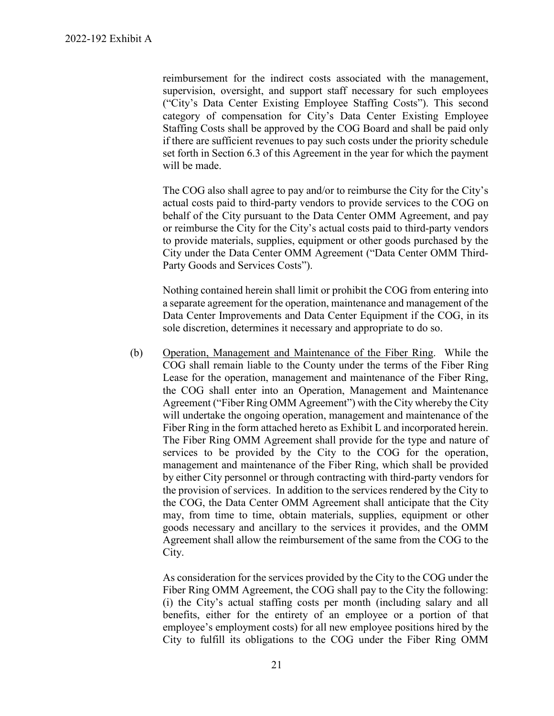reimbursement for the indirect costs associated with the management, supervision, oversight, and support staff necessary for such employees ("City's Data Center Existing Employee Staffing Costs"). This second category of compensation for City's Data Center Existing Employee Staffing Costs shall be approved by the COG Board and shall be paid only if there are sufficient revenues to pay such costs under the priority schedule set forth in Section 6.3 of this Agreement in the year for which the payment will be made.

The COG also shall agree to pay and/or to reimburse the City for the City's actual costs paid to third-party vendors to provide services to the COG on behalf of the City pursuant to the Data Center OMM Agreement, and pay or reimburse the City for the City's actual costs paid to third-party vendors to provide materials, supplies, equipment or other goods purchased by the City under the Data Center OMM Agreement ("Data Center OMM Third-Party Goods and Services Costs").

Nothing contained herein shall limit or prohibit the COG from entering into a separate agreement for the operation, maintenance and management of the Data Center Improvements and Data Center Equipment if the COG, in its sole discretion, determines it necessary and appropriate to do so.

(b) Operation, Management and Maintenance of the Fiber Ring. While the COG shall remain liable to the County under the terms of the Fiber Ring Lease for the operation, management and maintenance of the Fiber Ring, the COG shall enter into an Operation, Management and Maintenance Agreement ("Fiber Ring OMM Agreement") with the City whereby the City will undertake the ongoing operation, management and maintenance of the Fiber Ring in the form attached hereto as Exhibit L and incorporated herein. The Fiber Ring OMM Agreement shall provide for the type and nature of services to be provided by the City to the COG for the operation, management and maintenance of the Fiber Ring, which shall be provided by either City personnel or through contracting with third-party vendors for the provision of services. In addition to the services rendered by the City to the COG, the Data Center OMM Agreement shall anticipate that the City may, from time to time, obtain materials, supplies, equipment or other goods necessary and ancillary to the services it provides, and the OMM Agreement shall allow the reimbursement of the same from the COG to the City.

As consideration for the services provided by the City to the COG under the Fiber Ring OMM Agreement, the COG shall pay to the City the following: (i) the City's actual staffing costs per month (including salary and all benefits, either for the entirety of an employee or a portion of that employee's employment costs) for all new employee positions hired by the City to fulfill its obligations to the COG under the Fiber Ring OMM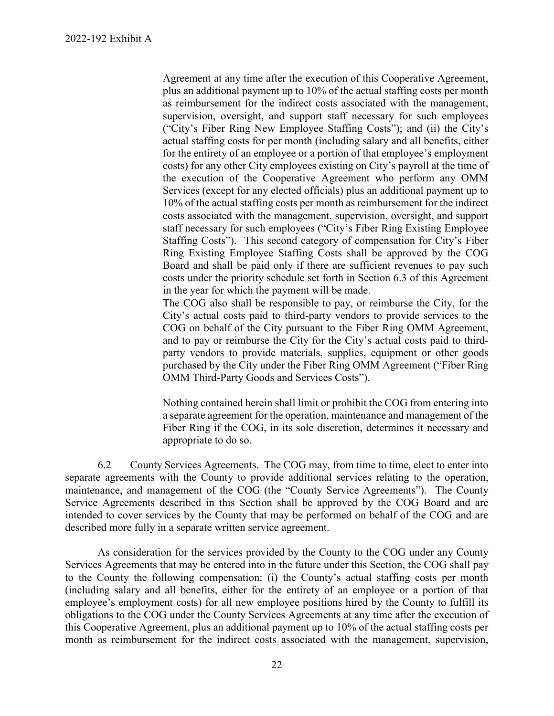Agreement at any time after the execution of this Cooperative Agreement, plus an additional payment up to 10% of the actual staffing costs per month as reimbursement for the indirect costs associated with the management, supervision, oversight, and support staff necessary for such employees ("City's Fiber Ring New Employee Staffing Costs"); and (ii) the City's actual staffing costs for per month (including salary and all benefits, either for the entirety of an employee or a portion of that employee's employment costs) for any other City employees existing on City's payroll at the time of the execution of the Cooperative Agreement who perform any OMM Services (except for any elected officials) plus an additional payment up to 10% of the actual staffing costs per month as reimbursement for the indirect costs associated with the management, supervision, oversight, and support staff necessary for such employees ("City's Fiber Ring Existing Employee Staffing Costs"). This second category of compensation for City's Fiber Ring Existing Employee Staffing Costs shall be approved by the COG Board and shall be paid only if there are sufficient revenues to pay such costs under the priority schedule set forth in Section 6.3 of this Agreement in the year for which the payment will be made.

The COG also shall be responsible to pay, or reimburse the City, for the City's actual costs paid to third-party vendors to provide services to the COG on behalf of the City pursuant to the Fiber Ring OMM Agreement, and to pay or reimburse the City for the City's actual costs paid to thirdparty vendors to provide materials, supplies, equipment or other goods purchased by the City under the Fiber Ring OMM Agreement ("Fiber Ring OMM Third-Party Goods and Services Costs").

Nothing contained herein shall limit or prohibit the COG from entering into a separate agreement for the operation, maintenance and management of the Fiber Ring if the COG, in its sole discretion, determines it necessary and appropriate to do so.

6.2 County Services Agreements. The COG may, from time to time, elect to enter into separate agreements with the County to provide additional services relating to the operation, maintenance, and management of the COG (the "County Service Agreements"). The County Service Agreements described in this Section shall be approved by the COG Board and are intended to cover services by the County that may be performed on behalf of the COG and are described more fully in a separate written service agreement.

As consideration for the services provided by the County to the COG under any County Services Agreements that may be entered into in the future under this Section, the COG shall pay to the County the following compensation: (i) the County's actual staffing costs per month (including salary and all benefits, either for the entirety of an employee or a portion of that employee's employment costs) for all new employee positions hired by the County to fulfill its obligations to the COG under the County Services Agreements at any time after the execution of this Cooperative Agreement, plus an additional payment up to 10% of the actual staffing costs per month as reimbursement for the indirect costs associated with the management, supervision,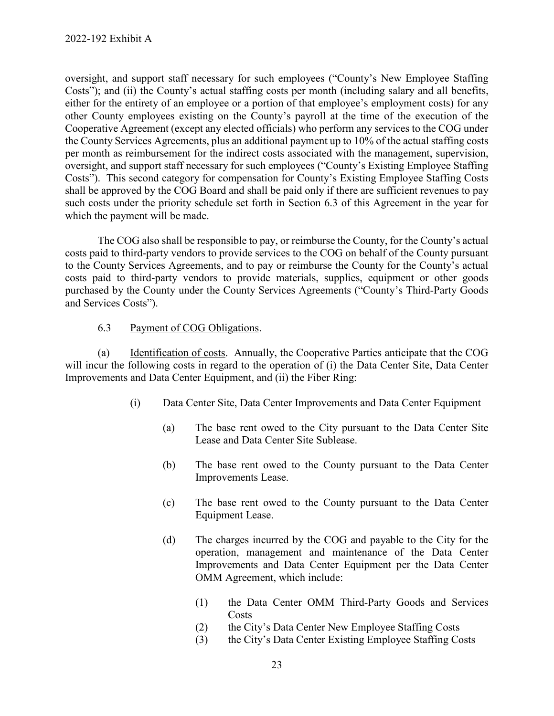oversight, and support staff necessary for such employees ("County's New Employee Staffing Costs"); and (ii) the County's actual staffing costs per month (including salary and all benefits, either for the entirety of an employee or a portion of that employee's employment costs) for any other County employees existing on the County's payroll at the time of the execution of the Cooperative Agreement (except any elected officials) who perform any services to the COG under the County Services Agreements, plus an additional payment up to 10% of the actual staffing costs per month as reimbursement for the indirect costs associated with the management, supervision, oversight, and support staff necessary for such employees ("County's Existing Employee Staffing Costs"). This second category for compensation for County's Existing Employee Staffing Costs shall be approved by the COG Board and shall be paid only if there are sufficient revenues to pay such costs under the priority schedule set forth in Section 6.3 of this Agreement in the year for which the payment will be made.

The COG also shall be responsible to pay, or reimburse the County, for the County's actual costs paid to third-party vendors to provide services to the COG on behalf of the County pursuant to the County Services Agreements, and to pay or reimburse the County for the County's actual costs paid to third-party vendors to provide materials, supplies, equipment or other goods purchased by the County under the County Services Agreements ("County's Third-Party Goods and Services Costs").

## 6.3 Payment of COG Obligations.

(a) Identification of costs. Annually, the Cooperative Parties anticipate that the COG will incur the following costs in regard to the operation of (i) the Data Center Site, Data Center Improvements and Data Center Equipment, and (ii) the Fiber Ring:

- (i) Data Center Site, Data Center Improvements and Data Center Equipment
	- (a) The base rent owed to the City pursuant to the Data Center Site Lease and Data Center Site Sublease.
	- (b) The base rent owed to the County pursuant to the Data Center Improvements Lease.
	- (c) The base rent owed to the County pursuant to the Data Center Equipment Lease.
	- (d) The charges incurred by the COG and payable to the City for the operation, management and maintenance of the Data Center Improvements and Data Center Equipment per the Data Center OMM Agreement, which include:
		- (1) the Data Center OMM Third-Party Goods and Services Costs
		- (2) the City's Data Center New Employee Staffing Costs
		- (3) the City's Data Center Existing Employee Staffing Costs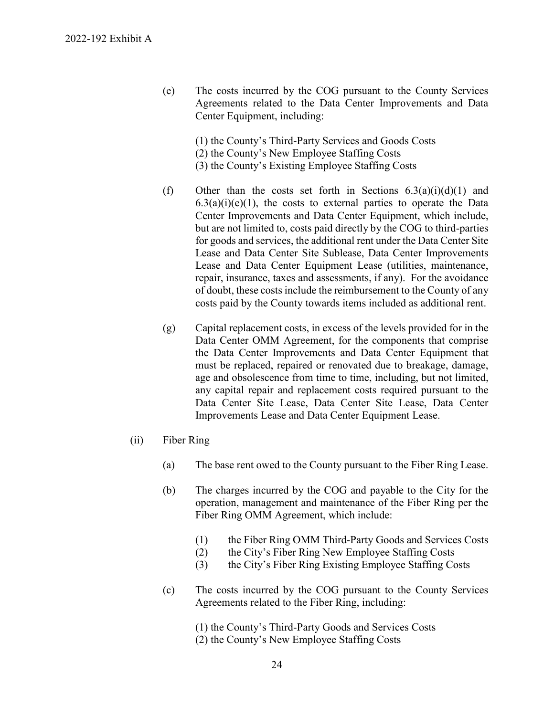(e) The costs incurred by the COG pursuant to the County Services Agreements related to the Data Center Improvements and Data Center Equipment, including:

(1) the County's Third-Party Services and Goods Costs (2) the County's New Employee Staffing Costs (3) the County's Existing Employee Staffing Costs

- (f) Other than the costs set forth in Sections  $6.3(a)(i)(d)(1)$  and  $6.3(a)(i)(e)(1)$ , the costs to external parties to operate the Data Center Improvements and Data Center Equipment, which include, but are not limited to, costs paid directly by the COG to third-parties for goods and services, the additional rent under the Data Center Site Lease and Data Center Site Sublease, Data Center Improvements Lease and Data Center Equipment Lease (utilities, maintenance, repair, insurance, taxes and assessments, if any). For the avoidance of doubt, these costs include the reimbursement to the County of any costs paid by the County towards items included as additional rent.
- (g) Capital replacement costs, in excess of the levels provided for in the Data Center OMM Agreement, for the components that comprise the Data Center Improvements and Data Center Equipment that must be replaced, repaired or renovated due to breakage, damage, age and obsolescence from time to time, including, but not limited, any capital repair and replacement costs required pursuant to the Data Center Site Lease, Data Center Site Lease, Data Center Improvements Lease and Data Center Equipment Lease.
- (ii) Fiber Ring
	- (a) The base rent owed to the County pursuant to the Fiber Ring Lease.
	- (b) The charges incurred by the COG and payable to the City for the operation, management and maintenance of the Fiber Ring per the Fiber Ring OMM Agreement, which include:
		- (1) the Fiber Ring OMM Third-Party Goods and Services Costs
		- (2) the City's Fiber Ring New Employee Staffing Costs
		- (3) the City's Fiber Ring Existing Employee Staffing Costs
	- (c) The costs incurred by the COG pursuant to the County Services Agreements related to the Fiber Ring, including:
		- (1) the County's Third-Party Goods and Services Costs
		- (2) the County's New Employee Staffing Costs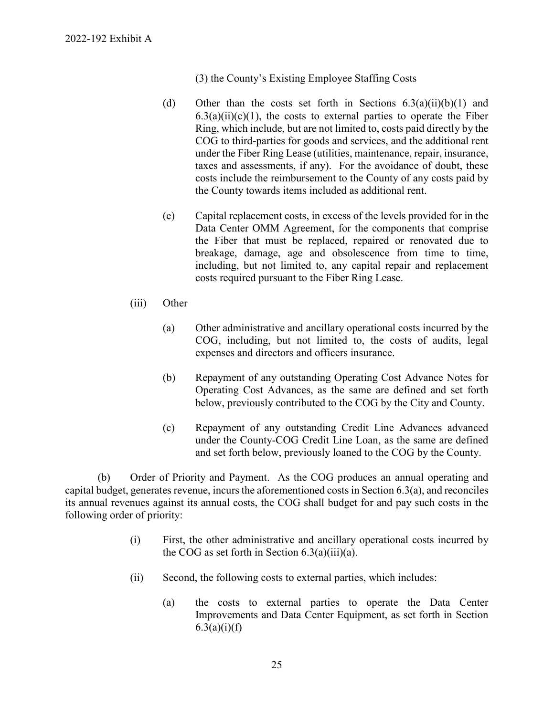- (3) the County's Existing Employee Staffing Costs
- (d) Other than the costs set forth in Sections  $6.3(a)(ii)(b)(1)$  and  $6.3(a)(ii)(c)(1)$ , the costs to external parties to operate the Fiber Ring, which include, but are not limited to, costs paid directly by the COG to third-parties for goods and services, and the additional rent under the Fiber Ring Lease (utilities, maintenance, repair, insurance, taxes and assessments, if any). For the avoidance of doubt, these costs include the reimbursement to the County of any costs paid by the County towards items included as additional rent.
- (e) Capital replacement costs, in excess of the levels provided for in the Data Center OMM Agreement, for the components that comprise the Fiber that must be replaced, repaired or renovated due to breakage, damage, age and obsolescence from time to time, including, but not limited to, any capital repair and replacement costs required pursuant to the Fiber Ring Lease.
- (iii) Other
	- (a) Other administrative and ancillary operational costs incurred by the COG, including, but not limited to, the costs of audits, legal expenses and directors and officers insurance.
	- (b) Repayment of any outstanding Operating Cost Advance Notes for Operating Cost Advances, as the same are defined and set forth below, previously contributed to the COG by the City and County.
	- (c) Repayment of any outstanding Credit Line Advances advanced under the County-COG Credit Line Loan, as the same are defined and set forth below, previously loaned to the COG by the County.

(b) Order of Priority and Payment. As the COG produces an annual operating and capital budget, generates revenue, incurs the aforementioned costs in Section 6.3(a), and reconciles its annual revenues against its annual costs, the COG shall budget for and pay such costs in the following order of priority:

- (i) First, the other administrative and ancillary operational costs incurred by the COG as set forth in Section  $6.3(a)(iii)(a)$ .
- (ii) Second, the following costs to external parties, which includes:
	- (a) the costs to external parties to operate the Data Center Improvements and Data Center Equipment, as set forth in Section  $6.3(a)(i)(f)$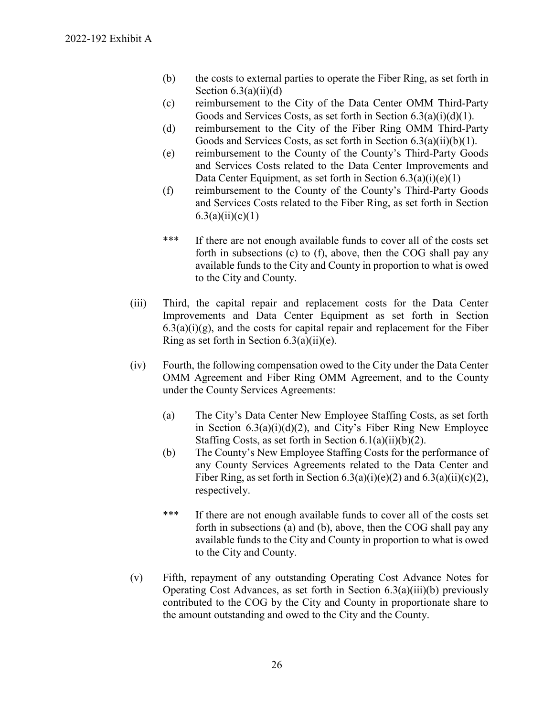- (b) the costs to external parties to operate the Fiber Ring, as set forth in Section  $6.3(a)(ii)(d)$
- (c) reimbursement to the City of the Data Center OMM Third-Party Goods and Services Costs, as set forth in Section  $6.3(a)(i)(d)(1)$ .
- (d) reimbursement to the City of the Fiber Ring OMM Third-Party Goods and Services Costs, as set forth in Section  $6.3(a)(ii)(b)(1)$ .
- (e) reimbursement to the County of the County's Third-Party Goods and Services Costs related to the Data Center Improvements and Data Center Equipment, as set forth in Section  $6.3(a)(i)(e)(1)$
- (f) reimbursement to the County of the County's Third-Party Goods and Services Costs related to the Fiber Ring, as set forth in Section  $6.3(a)(ii)(c)(1)$
- \*\*\* If there are not enough available funds to cover all of the costs set forth in subsections (c) to (f), above, then the COG shall pay any available funds to the City and County in proportion to what is owed to the City and County.
- (iii) Third, the capital repair and replacement costs for the Data Center Improvements and Data Center Equipment as set forth in Section  $6.3(a)(i)(g)$ , and the costs for capital repair and replacement for the Fiber Ring as set forth in Section  $6.3(a)(ii)(e)$ .
- (iv) Fourth, the following compensation owed to the City under the Data Center OMM Agreement and Fiber Ring OMM Agreement, and to the County under the County Services Agreements:
	- (a) The City's Data Center New Employee Staffing Costs, as set forth in Section 6.3(a)(i)(d)(2), and City's Fiber Ring New Employee Staffing Costs, as set forth in Section  $6.1(a)(ii)(b)(2)$ .
	- (b) The County's New Employee Staffing Costs for the performance of any County Services Agreements related to the Data Center and Fiber Ring, as set forth in Section  $6.3(a)(i)(e)(2)$  and  $6.3(a)(ii)(c)(2)$ , respectively.
	- \*\*\* If there are not enough available funds to cover all of the costs set forth in subsections (a) and (b), above, then the COG shall pay any available funds to the City and County in proportion to what is owed to the City and County.
- (v) Fifth, repayment of any outstanding Operating Cost Advance Notes for Operating Cost Advances, as set forth in Section 6.3(a)(iii)(b) previously contributed to the COG by the City and County in proportionate share to the amount outstanding and owed to the City and the County.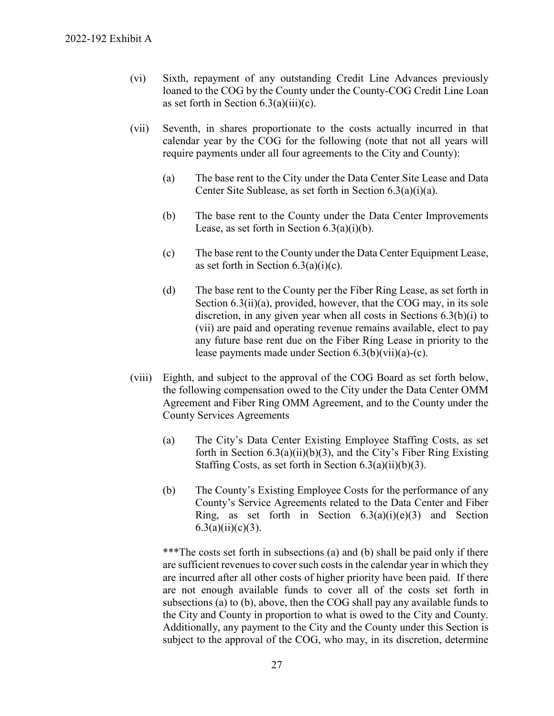- (vi) Sixth, repayment of any outstanding Credit Line Advances previously loaned to the COG by the County under the County-COG Credit Line Loan as set forth in Section  $6.3(a)(iii)(c)$ .
- (vii) Seventh, in shares proportionate to the costs actually incurred in that calendar year by the COG for the following (note that not all years will require payments under all four agreements to the City and County):
	- (a) The base rent to the City under the Data Center Site Lease and Data Center Site Sublease, as set forth in Section 6.3(a)(i)(a).
	- (b) The base rent to the County under the Data Center Improvements Lease, as set forth in Section  $6.3(a)(i)(b)$ .
	- (c) The base rent to the County under the Data Center Equipment Lease, as set forth in Section  $6.3(a)(i)(c)$ .
	- (d) The base rent to the County per the Fiber Ring Lease, as set forth in Section 6.3(ii)(a), provided, however, that the COG may, in its sole discretion, in any given year when all costs in Sections 6.3(b)(i) to (vii) are paid and operating revenue remains available, elect to pay any future base rent due on the Fiber Ring Lease in priority to the lease payments made under Section 6.3(b)(vii)(a)-(c).
- (viii) Eighth, and subject to the approval of the COG Board as set forth below, the following compensation owed to the City under the Data Center OMM Agreement and Fiber Ring OMM Agreement, and to the County under the County Services Agreements
	- (a) The City's Data Center Existing Employee Staffing Costs, as set forth in Section  $6.3(a)(ii)(b)(3)$ , and the City's Fiber Ring Existing Staffing Costs, as set forth in Section  $6.3(a)(ii)(b)(3)$ .
	- (b) The County's Existing Employee Costs for the performance of any County's Service Agreements related to the Data Center and Fiber Ring, as set forth in Section  $6.3(a)(i)(e)(3)$  and Section  $6.3(a)(ii)(c)(3)$ .

\*\*\*The costs set forth in subsections (a) and (b) shall be paid only if there are sufficient revenues to cover such costs in the calendar year in which they are incurred after all other costs of higher priority have been paid. If there are not enough available funds to cover all of the costs set forth in subsections (a) to (b), above, then the COG shall pay any available funds to the City and County in proportion to what is owed to the City and County. Additionally, any payment to the City and the County under this Section is subject to the approval of the COG, who may, in its discretion, determine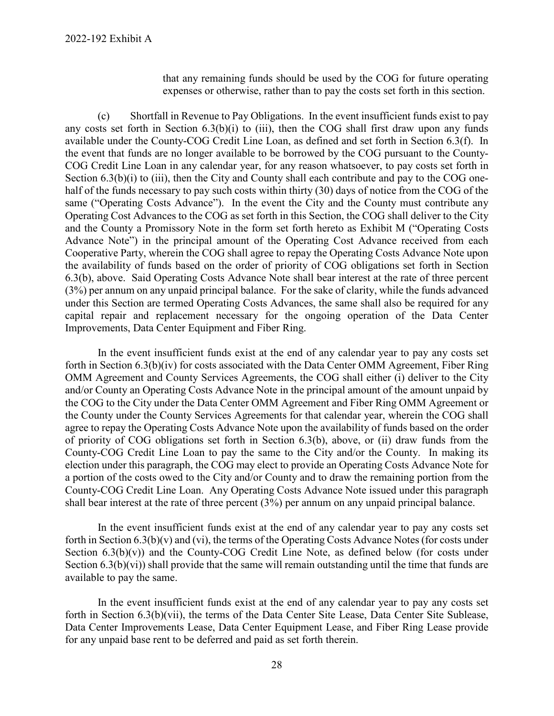that any remaining funds should be used by the COG for future operating expenses or otherwise, rather than to pay the costs set forth in this section.

(c) Shortfall in Revenue to Pay Obligations. In the event insufficient funds exist to pay any costs set forth in Section  $6.3(b)(i)$  to (iii), then the COG shall first draw upon any funds available under the County-COG Credit Line Loan, as defined and set forth in Section 6.3(f). In the event that funds are no longer available to be borrowed by the COG pursuant to the County-COG Credit Line Loan in any calendar year, for any reason whatsoever, to pay costs set forth in Section 6.3(b)(i) to (iii), then the City and County shall each contribute and pay to the COG onehalf of the funds necessary to pay such costs within thirty (30) days of notice from the COG of the same ("Operating Costs Advance"). In the event the City and the County must contribute any Operating Cost Advances to the COG as set forth in this Section, the COG shall deliver to the City and the County a Promissory Note in the form set forth hereto as Exhibit M ("Operating Costs Advance Note") in the principal amount of the Operating Cost Advance received from each Cooperative Party, wherein the COG shall agree to repay the Operating Costs Advance Note upon the availability of funds based on the order of priority of COG obligations set forth in Section 6.3(b), above. Said Operating Costs Advance Note shall bear interest at the rate of three percent (3%) per annum on any unpaid principal balance. For the sake of clarity, while the funds advanced under this Section are termed Operating Costs Advances, the same shall also be required for any capital repair and replacement necessary for the ongoing operation of the Data Center Improvements, Data Center Equipment and Fiber Ring.

In the event insufficient funds exist at the end of any calendar year to pay any costs set forth in Section 6.3(b)(iv) for costs associated with the Data Center OMM Agreement, Fiber Ring OMM Agreement and County Services Agreements, the COG shall either (i) deliver to the City and/or County an Operating Costs Advance Note in the principal amount of the amount unpaid by the COG to the City under the Data Center OMM Agreement and Fiber Ring OMM Agreement or the County under the County Services Agreements for that calendar year, wherein the COG shall agree to repay the Operating Costs Advance Note upon the availability of funds based on the order of priority of COG obligations set forth in Section 6.3(b), above, or (ii) draw funds from the County-COG Credit Line Loan to pay the same to the City and/or the County. In making its election under this paragraph, the COG may elect to provide an Operating Costs Advance Note for a portion of the costs owed to the City and/or County and to draw the remaining portion from the County-COG Credit Line Loan. Any Operating Costs Advance Note issued under this paragraph shall bear interest at the rate of three percent (3%) per annum on any unpaid principal balance.

In the event insufficient funds exist at the end of any calendar year to pay any costs set forth in Section 6.3(b)(v) and (vi), the terms of the Operating Costs Advance Notes (for costs under Section  $6.3(b)(v)$ ) and the County-COG Credit Line Note, as defined below (for costs under Section 6.3(b)(vi)) shall provide that the same will remain outstanding until the time that funds are available to pay the same.

In the event insufficient funds exist at the end of any calendar year to pay any costs set forth in Section 6.3(b)(vii), the terms of the Data Center Site Lease, Data Center Site Sublease, Data Center Improvements Lease, Data Center Equipment Lease, and Fiber Ring Lease provide for any unpaid base rent to be deferred and paid as set forth therein.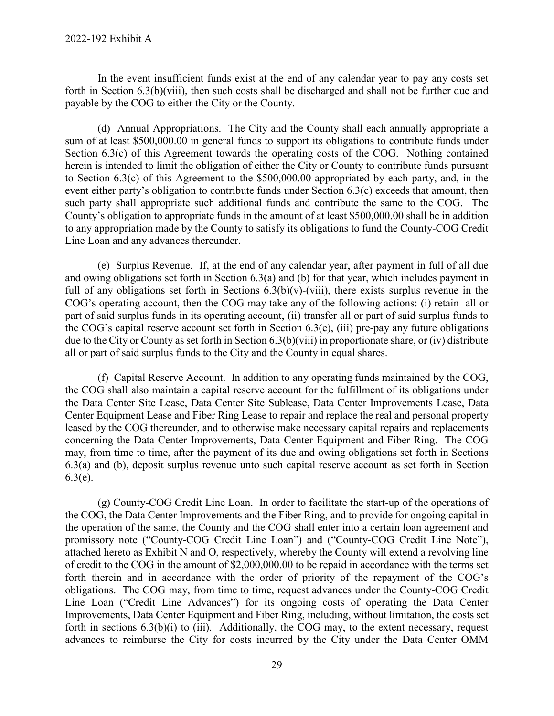In the event insufficient funds exist at the end of any calendar year to pay any costs set forth in Section 6.3(b)(viii), then such costs shall be discharged and shall not be further due and payable by the COG to either the City or the County.

(d) Annual Appropriations. The City and the County shall each annually appropriate a sum of at least \$500,000.00 in general funds to support its obligations to contribute funds under Section 6.3(c) of this Agreement towards the operating costs of the COG. Nothing contained herein is intended to limit the obligation of either the City or County to contribute funds pursuant to Section 6.3(c) of this Agreement to the \$500,000.00 appropriated by each party, and, in the event either party's obligation to contribute funds under Section 6.3(c) exceeds that amount, then such party shall appropriate such additional funds and contribute the same to the COG. The County's obligation to appropriate funds in the amount of at least \$500,000.00 shall be in addition to any appropriation made by the County to satisfy its obligations to fund the County-COG Credit Line Loan and any advances thereunder.

(e) Surplus Revenue. If, at the end of any calendar year, after payment in full of all due and owing obligations set forth in Section 6.3(a) and (b) for that year, which includes payment in full of any obligations set forth in Sections  $6.3(b)(v)$ -(viii), there exists surplus revenue in the COG's operating account, then the COG may take any of the following actions: (i) retain all or part of said surplus funds in its operating account, (ii) transfer all or part of said surplus funds to the COG's capital reserve account set forth in Section 6.3(e), (iii) pre-pay any future obligations due to the City or County as set forth in Section 6.3(b)(viii) in proportionate share, or (iv) distribute all or part of said surplus funds to the City and the County in equal shares.

(f) Capital Reserve Account. In addition to any operating funds maintained by the COG, the COG shall also maintain a capital reserve account for the fulfillment of its obligations under the Data Center Site Lease, Data Center Site Sublease, Data Center Improvements Lease, Data Center Equipment Lease and Fiber Ring Lease to repair and replace the real and personal property leased by the COG thereunder, and to otherwise make necessary capital repairs and replacements concerning the Data Center Improvements, Data Center Equipment and Fiber Ring. The COG may, from time to time, after the payment of its due and owing obligations set forth in Sections 6.3(a) and (b), deposit surplus revenue unto such capital reserve account as set forth in Section 6.3(e).

(g) County-COG Credit Line Loan. In order to facilitate the start-up of the operations of the COG, the Data Center Improvements and the Fiber Ring, and to provide for ongoing capital in the operation of the same, the County and the COG shall enter into a certain loan agreement and promissory note ("County-COG Credit Line Loan") and ("County-COG Credit Line Note"), attached hereto as Exhibit N and O, respectively, whereby the County will extend a revolving line of credit to the COG in the amount of \$2,000,000.00 to be repaid in accordance with the terms set forth therein and in accordance with the order of priority of the repayment of the COG's obligations. The COG may, from time to time, request advances under the County-COG Credit Line Loan ("Credit Line Advances") for its ongoing costs of operating the Data Center Improvements, Data Center Equipment and Fiber Ring, including, without limitation, the costs set forth in sections  $6.3(b)(i)$  to (iii). Additionally, the COG may, to the extent necessary, request advances to reimburse the City for costs incurred by the City under the Data Center OMM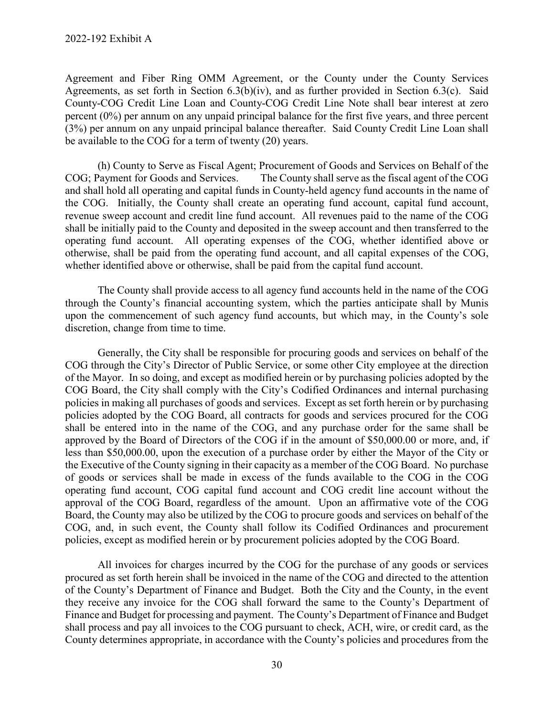Agreement and Fiber Ring OMM Agreement, or the County under the County Services Agreements, as set forth in Section 6.3(b)(iv), and as further provided in Section 6.3(c). Said County-COG Credit Line Loan and County-COG Credit Line Note shall bear interest at zero percent (0%) per annum on any unpaid principal balance for the first five years, and three percent (3%) per annum on any unpaid principal balance thereafter. Said County Credit Line Loan shall be available to the COG for a term of twenty (20) years.

(h) County to Serve as Fiscal Agent; Procurement of Goods and Services on Behalf of the COG; Payment for Goods and Services. The County shall serve as the fiscal agent of the COG and shall hold all operating and capital funds in County-held agency fund accounts in the name of the COG. Initially, the County shall create an operating fund account, capital fund account, revenue sweep account and credit line fund account. All revenues paid to the name of the COG shall be initially paid to the County and deposited in the sweep account and then transferred to the operating fund account. All operating expenses of the COG, whether identified above or otherwise, shall be paid from the operating fund account, and all capital expenses of the COG, whether identified above or otherwise, shall be paid from the capital fund account.

The County shall provide access to all agency fund accounts held in the name of the COG through the County's financial accounting system, which the parties anticipate shall by Munis upon the commencement of such agency fund accounts, but which may, in the County's sole discretion, change from time to time.

Generally, the City shall be responsible for procuring goods and services on behalf of the COG through the City's Director of Public Service, or some other City employee at the direction of the Mayor. In so doing, and except as modified herein or by purchasing policies adopted by the COG Board, the City shall comply with the City's Codified Ordinances and internal purchasing policies in making all purchases of goods and services. Except as set forth herein or by purchasing policies adopted by the COG Board, all contracts for goods and services procured for the COG shall be entered into in the name of the COG, and any purchase order for the same shall be approved by the Board of Directors of the COG if in the amount of \$50,000.00 or more, and, if less than \$50,000.00, upon the execution of a purchase order by either the Mayor of the City or the Executive of the County signing in their capacity as a member of the COG Board. No purchase of goods or services shall be made in excess of the funds available to the COG in the COG operating fund account, COG capital fund account and COG credit line account without the approval of the COG Board, regardless of the amount. Upon an affirmative vote of the COG Board, the County may also be utilized by the COG to procure goods and services on behalf of the COG, and, in such event, the County shall follow its Codified Ordinances and procurement policies, except as modified herein or by procurement policies adopted by the COG Board.

All invoices for charges incurred by the COG for the purchase of any goods or services procured as set forth herein shall be invoiced in the name of the COG and directed to the attention of the County's Department of Finance and Budget. Both the City and the County, in the event they receive any invoice for the COG shall forward the same to the County's Department of Finance and Budget for processing and payment. The County's Department of Finance and Budget shall process and pay all invoices to the COG pursuant to check, ACH, wire, or credit card, as the County determines appropriate, in accordance with the County's policies and procedures from the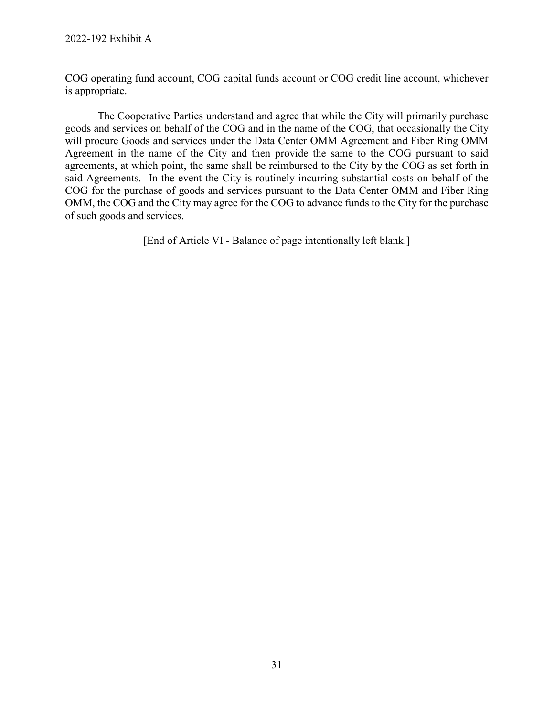COG operating fund account, COG capital funds account or COG credit line account, whichever is appropriate.

The Cooperative Parties understand and agree that while the City will primarily purchase goods and services on behalf of the COG and in the name of the COG, that occasionally the City will procure Goods and services under the Data Center OMM Agreement and Fiber Ring OMM Agreement in the name of the City and then provide the same to the COG pursuant to said agreements, at which point, the same shall be reimbursed to the City by the COG as set forth in said Agreements. In the event the City is routinely incurring substantial costs on behalf of the COG for the purchase of goods and services pursuant to the Data Center OMM and Fiber Ring OMM, the COG and the City may agree for the COG to advance funds to the City for the purchase of such goods and services.

[End of Article VI - Balance of page intentionally left blank.]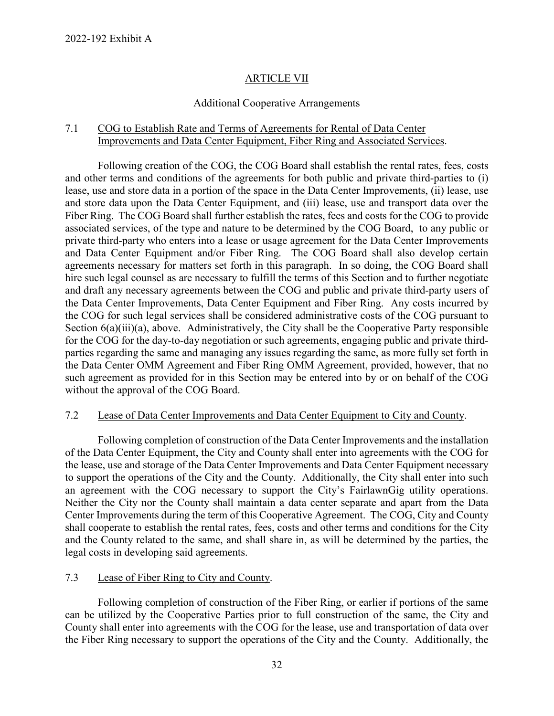## ARTICLE VII

#### Additional Cooperative Arrangements

## 7.1 COG to Establish Rate and Terms of Agreements for Rental of Data Center Improvements and Data Center Equipment, Fiber Ring and Associated Services.

Following creation of the COG, the COG Board shall establish the rental rates, fees, costs and other terms and conditions of the agreements for both public and private third-parties to (i) lease, use and store data in a portion of the space in the Data Center Improvements, (ii) lease, use and store data upon the Data Center Equipment, and (iii) lease, use and transport data over the Fiber Ring. The COG Board shall further establish the rates, fees and costs for the COG to provide associated services, of the type and nature to be determined by the COG Board, to any public or private third-party who enters into a lease or usage agreement for the Data Center Improvements and Data Center Equipment and/or Fiber Ring. The COG Board shall also develop certain agreements necessary for matters set forth in this paragraph. In so doing, the COG Board shall hire such legal counsel as are necessary to fulfill the terms of this Section and to further negotiate and draft any necessary agreements between the COG and public and private third-party users of the Data Center Improvements, Data Center Equipment and Fiber Ring. Any costs incurred by the COG for such legal services shall be considered administrative costs of the COG pursuant to Section 6(a)(iii)(a), above. Administratively, the City shall be the Cooperative Party responsible for the COG for the day-to-day negotiation or such agreements, engaging public and private thirdparties regarding the same and managing any issues regarding the same, as more fully set forth in the Data Center OMM Agreement and Fiber Ring OMM Agreement, provided, however, that no such agreement as provided for in this Section may be entered into by or on behalf of the COG without the approval of the COG Board.

#### 7.2 Lease of Data Center Improvements and Data Center Equipment to City and County.

Following completion of construction of the Data Center Improvements and the installation of the Data Center Equipment, the City and County shall enter into agreements with the COG for the lease, use and storage of the Data Center Improvements and Data Center Equipment necessary to support the operations of the City and the County. Additionally, the City shall enter into such an agreement with the COG necessary to support the City's FairlawnGig utility operations. Neither the City nor the County shall maintain a data center separate and apart from the Data Center Improvements during the term of this Cooperative Agreement. The COG, City and County shall cooperate to establish the rental rates, fees, costs and other terms and conditions for the City and the County related to the same, and shall share in, as will be determined by the parties, the legal costs in developing said agreements.

## 7.3 Lease of Fiber Ring to City and County.

Following completion of construction of the Fiber Ring, or earlier if portions of the same can be utilized by the Cooperative Parties prior to full construction of the same, the City and County shall enter into agreements with the COG for the lease, use and transportation of data over the Fiber Ring necessary to support the operations of the City and the County. Additionally, the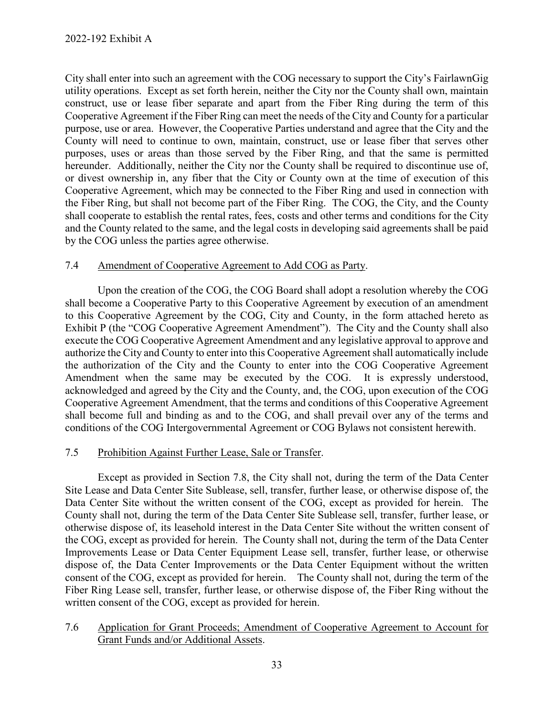City shall enter into such an agreement with the COG necessary to support the City's FairlawnGig utility operations. Except as set forth herein, neither the City nor the County shall own, maintain construct, use or lease fiber separate and apart from the Fiber Ring during the term of this Cooperative Agreement if the Fiber Ring can meet the needs of the City and County for a particular purpose, use or area. However, the Cooperative Parties understand and agree that the City and the County will need to continue to own, maintain, construct, use or lease fiber that serves other purposes, uses or areas than those served by the Fiber Ring, and that the same is permitted hereunder. Additionally, neither the City nor the County shall be required to discontinue use of, or divest ownership in, any fiber that the City or County own at the time of execution of this Cooperative Agreement, which may be connected to the Fiber Ring and used in connection with the Fiber Ring, but shall not become part of the Fiber Ring. The COG, the City, and the County shall cooperate to establish the rental rates, fees, costs and other terms and conditions for the City and the County related to the same, and the legal costs in developing said agreements shall be paid by the COG unless the parties agree otherwise.

## 7.4 Amendment of Cooperative Agreement to Add COG as Party.

 Upon the creation of the COG, the COG Board shall adopt a resolution whereby the COG shall become a Cooperative Party to this Cooperative Agreement by execution of an amendment to this Cooperative Agreement by the COG, City and County, in the form attached hereto as Exhibit P (the "COG Cooperative Agreement Amendment"). The City and the County shall also execute the COG Cooperative Agreement Amendment and any legislative approval to approve and authorize the City and County to enter into this Cooperative Agreement shall automatically include the authorization of the City and the County to enter into the COG Cooperative Agreement Amendment when the same may be executed by the COG. It is expressly understood, acknowledged and agreed by the City and the County, and, the COG, upon execution of the COG Cooperative Agreement Amendment, that the terms and conditions of this Cooperative Agreement shall become full and binding as and to the COG, and shall prevail over any of the terms and conditions of the COG Intergovernmental Agreement or COG Bylaws not consistent herewith.

## 7.5 Prohibition Against Further Lease, Sale or Transfer.

Except as provided in Section 7.8, the City shall not, during the term of the Data Center Site Lease and Data Center Site Sublease, sell, transfer, further lease, or otherwise dispose of, the Data Center Site without the written consent of the COG, except as provided for herein. The County shall not, during the term of the Data Center Site Sublease sell, transfer, further lease, or otherwise dispose of, its leasehold interest in the Data Center Site without the written consent of the COG, except as provided for herein. The County shall not, during the term of the Data Center Improvements Lease or Data Center Equipment Lease sell, transfer, further lease, or otherwise dispose of, the Data Center Improvements or the Data Center Equipment without the written consent of the COG, except as provided for herein. The County shall not, during the term of the Fiber Ring Lease sell, transfer, further lease, or otherwise dispose of, the Fiber Ring without the written consent of the COG, except as provided for herein.

7.6 Application for Grant Proceeds; Amendment of Cooperative Agreement to Account for Grant Funds and/or Additional Assets.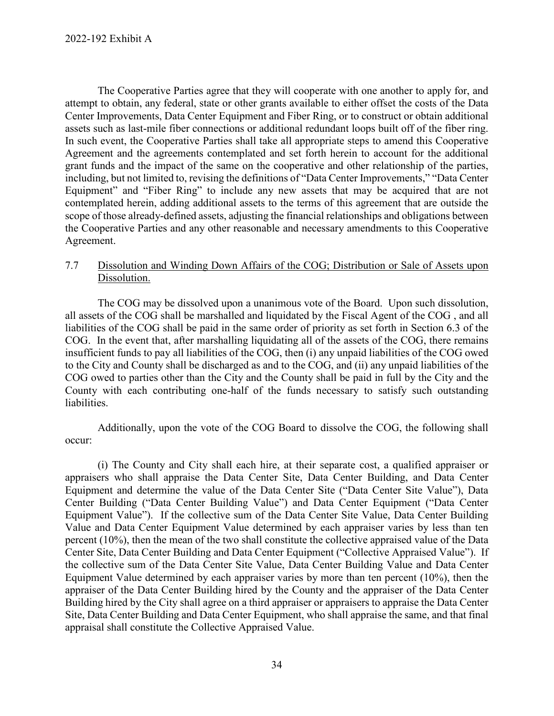The Cooperative Parties agree that they will cooperate with one another to apply for, and attempt to obtain, any federal, state or other grants available to either offset the costs of the Data Center Improvements, Data Center Equipment and Fiber Ring, or to construct or obtain additional assets such as last-mile fiber connections or additional redundant loops built off of the fiber ring. In such event, the Cooperative Parties shall take all appropriate steps to amend this Cooperative Agreement and the agreements contemplated and set forth herein to account for the additional grant funds and the impact of the same on the cooperative and other relationship of the parties, including, but not limited to, revising the definitions of "Data Center Improvements," "Data Center Equipment" and "Fiber Ring" to include any new assets that may be acquired that are not contemplated herein, adding additional assets to the terms of this agreement that are outside the scope of those already-defined assets, adjusting the financial relationships and obligations between the Cooperative Parties and any other reasonable and necessary amendments to this Cooperative Agreement.

### 7.7 Dissolution and Winding Down Affairs of the COG; Distribution or Sale of Assets upon Dissolution.

The COG may be dissolved upon a unanimous vote of the Board. Upon such dissolution, all assets of the COG shall be marshalled and liquidated by the Fiscal Agent of the COG , and all liabilities of the COG shall be paid in the same order of priority as set forth in Section 6.3 of the COG. In the event that, after marshalling liquidating all of the assets of the COG, there remains insufficient funds to pay all liabilities of the COG, then (i) any unpaid liabilities of the COG owed to the City and County shall be discharged as and to the COG, and (ii) any unpaid liabilities of the COG owed to parties other than the City and the County shall be paid in full by the City and the County with each contributing one-half of the funds necessary to satisfy such outstanding liabilities.

Additionally, upon the vote of the COG Board to dissolve the COG, the following shall occur:

(i) The County and City shall each hire, at their separate cost, a qualified appraiser or appraisers who shall appraise the Data Center Site, Data Center Building, and Data Center Equipment and determine the value of the Data Center Site ("Data Center Site Value"), Data Center Building ("Data Center Building Value") and Data Center Equipment ("Data Center Equipment Value"). If the collective sum of the Data Center Site Value, Data Center Building Value and Data Center Equipment Value determined by each appraiser varies by less than ten percent (10%), then the mean of the two shall constitute the collective appraised value of the Data Center Site, Data Center Building and Data Center Equipment ("Collective Appraised Value"). If the collective sum of the Data Center Site Value, Data Center Building Value and Data Center Equipment Value determined by each appraiser varies by more than ten percent (10%), then the appraiser of the Data Center Building hired by the County and the appraiser of the Data Center Building hired by the City shall agree on a third appraiser or appraisers to appraise the Data Center Site, Data Center Building and Data Center Equipment, who shall appraise the same, and that final appraisal shall constitute the Collective Appraised Value.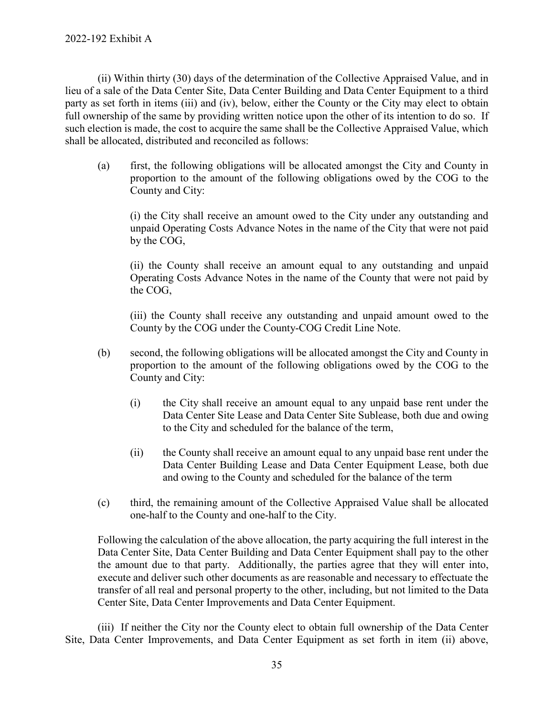(ii) Within thirty (30) days of the determination of the Collective Appraised Value, and in lieu of a sale of the Data Center Site, Data Center Building and Data Center Equipment to a third party as set forth in items (iii) and (iv), below, either the County or the City may elect to obtain full ownership of the same by providing written notice upon the other of its intention to do so. If such election is made, the cost to acquire the same shall be the Collective Appraised Value, which shall be allocated, distributed and reconciled as follows:

(a) first, the following obligations will be allocated amongst the City and County in proportion to the amount of the following obligations owed by the COG to the County and City:

(i) the City shall receive an amount owed to the City under any outstanding and unpaid Operating Costs Advance Notes in the name of the City that were not paid by the COG,

(ii) the County shall receive an amount equal to any outstanding and unpaid Operating Costs Advance Notes in the name of the County that were not paid by the COG,

(iii) the County shall receive any outstanding and unpaid amount owed to the County by the COG under the County-COG Credit Line Note.

- (b) second, the following obligations will be allocated amongst the City and County in proportion to the amount of the following obligations owed by the COG to the County and City:
	- (i) the City shall receive an amount equal to any unpaid base rent under the Data Center Site Lease and Data Center Site Sublease, both due and owing to the City and scheduled for the balance of the term,
	- (ii) the County shall receive an amount equal to any unpaid base rent under the Data Center Building Lease and Data Center Equipment Lease, both due and owing to the County and scheduled for the balance of the term
- (c) third, the remaining amount of the Collective Appraised Value shall be allocated one-half to the County and one-half to the City.

Following the calculation of the above allocation, the party acquiring the full interest in the Data Center Site, Data Center Building and Data Center Equipment shall pay to the other the amount due to that party. Additionally, the parties agree that they will enter into, execute and deliver such other documents as are reasonable and necessary to effectuate the transfer of all real and personal property to the other, including, but not limited to the Data Center Site, Data Center Improvements and Data Center Equipment.

(iii) If neither the City nor the County elect to obtain full ownership of the Data Center Site, Data Center Improvements, and Data Center Equipment as set forth in item (ii) above,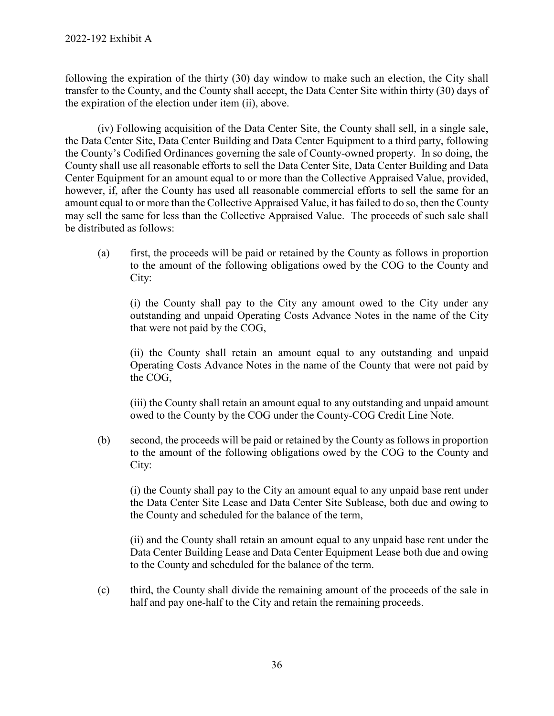following the expiration of the thirty (30) day window to make such an election, the City shall transfer to the County, and the County shall accept, the Data Center Site within thirty (30) days of the expiration of the election under item (ii), above.

(iv) Following acquisition of the Data Center Site, the County shall sell, in a single sale, the Data Center Site, Data Center Building and Data Center Equipment to a third party, following the County's Codified Ordinances governing the sale of County-owned property. In so doing, the County shall use all reasonable efforts to sell the Data Center Site, Data Center Building and Data Center Equipment for an amount equal to or more than the Collective Appraised Value, provided, however, if, after the County has used all reasonable commercial efforts to sell the same for an amount equal to or more than the Collective Appraised Value, it has failed to do so, then the County may sell the same for less than the Collective Appraised Value. The proceeds of such sale shall be distributed as follows:

(a) first, the proceeds will be paid or retained by the County as follows in proportion to the amount of the following obligations owed by the COG to the County and City:

(i) the County shall pay to the City any amount owed to the City under any outstanding and unpaid Operating Costs Advance Notes in the name of the City that were not paid by the COG,

(ii) the County shall retain an amount equal to any outstanding and unpaid Operating Costs Advance Notes in the name of the County that were not paid by the COG,

(iii) the County shall retain an amount equal to any outstanding and unpaid amount owed to the County by the COG under the County-COG Credit Line Note.

(b) second, the proceeds will be paid or retained by the County as follows in proportion to the amount of the following obligations owed by the COG to the County and City:

(i) the County shall pay to the City an amount equal to any unpaid base rent under the Data Center Site Lease and Data Center Site Sublease, both due and owing to the County and scheduled for the balance of the term,

(ii) and the County shall retain an amount equal to any unpaid base rent under the Data Center Building Lease and Data Center Equipment Lease both due and owing to the County and scheduled for the balance of the term.

(c) third, the County shall divide the remaining amount of the proceeds of the sale in half and pay one-half to the City and retain the remaining proceeds.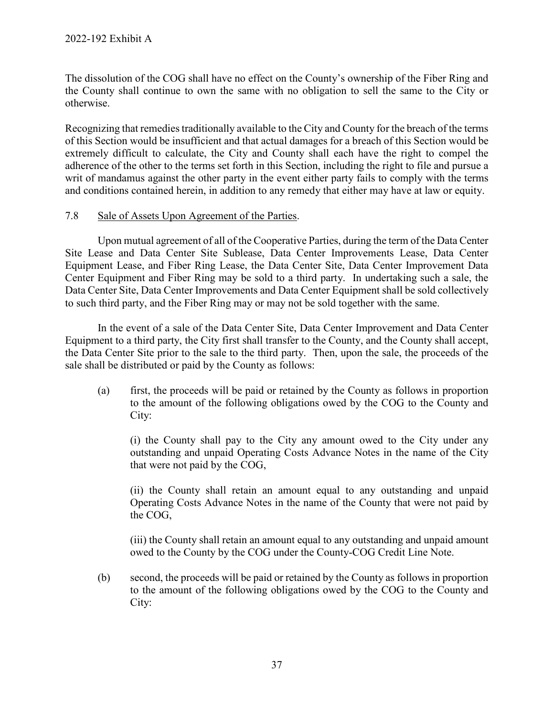The dissolution of the COG shall have no effect on the County's ownership of the Fiber Ring and the County shall continue to own the same with no obligation to sell the same to the City or otherwise.

Recognizing that remedies traditionally available to the City and County for the breach of the terms of this Section would be insufficient and that actual damages for a breach of this Section would be extremely difficult to calculate, the City and County shall each have the right to compel the adherence of the other to the terms set forth in this Section, including the right to file and pursue a writ of mandamus against the other party in the event either party fails to comply with the terms and conditions contained herein, in addition to any remedy that either may have at law or equity.

## 7.8 Sale of Assets Upon Agreement of the Parties.

Upon mutual agreement of all of the Cooperative Parties, during the term of the Data Center Site Lease and Data Center Site Sublease, Data Center Improvements Lease, Data Center Equipment Lease, and Fiber Ring Lease, the Data Center Site, Data Center Improvement Data Center Equipment and Fiber Ring may be sold to a third party. In undertaking such a sale, the Data Center Site, Data Center Improvements and Data Center Equipment shall be sold collectively to such third party, and the Fiber Ring may or may not be sold together with the same.

In the event of a sale of the Data Center Site, Data Center Improvement and Data Center Equipment to a third party, the City first shall transfer to the County, and the County shall accept, the Data Center Site prior to the sale to the third party. Then, upon the sale, the proceeds of the sale shall be distributed or paid by the County as follows:

(a) first, the proceeds will be paid or retained by the County as follows in proportion to the amount of the following obligations owed by the COG to the County and City:

(i) the County shall pay to the City any amount owed to the City under any outstanding and unpaid Operating Costs Advance Notes in the name of the City that were not paid by the COG,

(ii) the County shall retain an amount equal to any outstanding and unpaid Operating Costs Advance Notes in the name of the County that were not paid by the COG,

(iii) the County shall retain an amount equal to any outstanding and unpaid amount owed to the County by the COG under the County-COG Credit Line Note.

(b) second, the proceeds will be paid or retained by the County as follows in proportion to the amount of the following obligations owed by the COG to the County and City: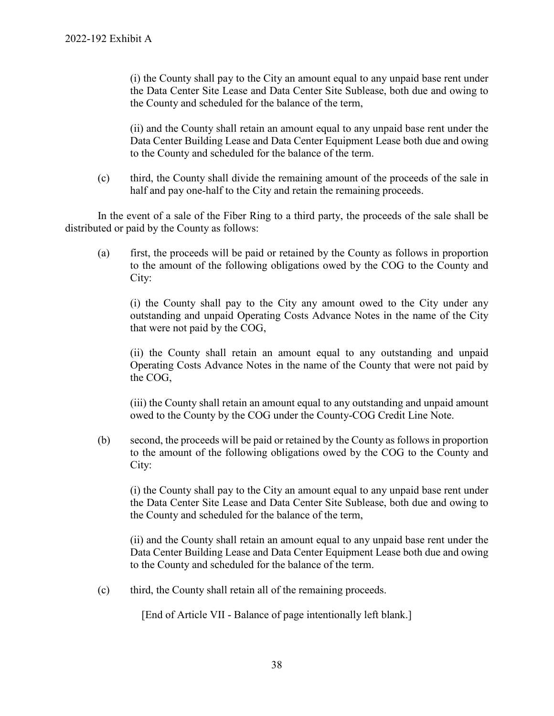(i) the County shall pay to the City an amount equal to any unpaid base rent under the Data Center Site Lease and Data Center Site Sublease, both due and owing to the County and scheduled for the balance of the term,

(ii) and the County shall retain an amount equal to any unpaid base rent under the Data Center Building Lease and Data Center Equipment Lease both due and owing to the County and scheduled for the balance of the term.

(c) third, the County shall divide the remaining amount of the proceeds of the sale in half and pay one-half to the City and retain the remaining proceeds.

In the event of a sale of the Fiber Ring to a third party, the proceeds of the sale shall be distributed or paid by the County as follows:

(a) first, the proceeds will be paid or retained by the County as follows in proportion to the amount of the following obligations owed by the COG to the County and City:

(i) the County shall pay to the City any amount owed to the City under any outstanding and unpaid Operating Costs Advance Notes in the name of the City that were not paid by the COG,

(ii) the County shall retain an amount equal to any outstanding and unpaid Operating Costs Advance Notes in the name of the County that were not paid by the COG,

(iii) the County shall retain an amount equal to any outstanding and unpaid amount owed to the County by the COG under the County-COG Credit Line Note.

(b) second, the proceeds will be paid or retained by the County as follows in proportion to the amount of the following obligations owed by the COG to the County and City:

(i) the County shall pay to the City an amount equal to any unpaid base rent under the Data Center Site Lease and Data Center Site Sublease, both due and owing to the County and scheduled for the balance of the term,

(ii) and the County shall retain an amount equal to any unpaid base rent under the Data Center Building Lease and Data Center Equipment Lease both due and owing to the County and scheduled for the balance of the term.

(c) third, the County shall retain all of the remaining proceeds.

[End of Article VII - Balance of page intentionally left blank.]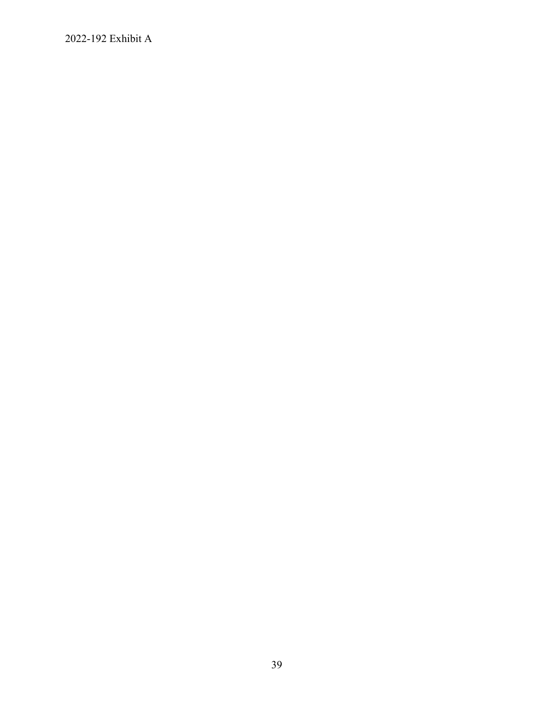2022-192 Exhibit A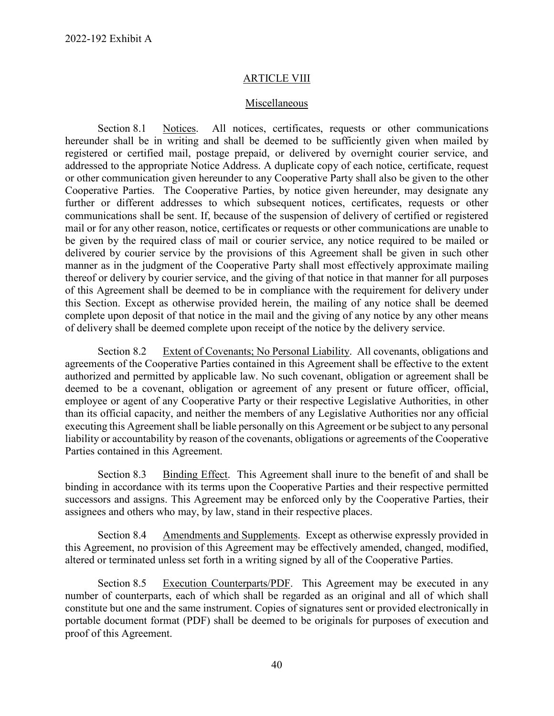#### ARTICLE VIII

#### Miscellaneous

Section 8.1 Notices. All notices, certificates, requests or other communications hereunder shall be in writing and shall be deemed to be sufficiently given when mailed by registered or certified mail, postage prepaid, or delivered by overnight courier service, and addressed to the appropriate Notice Address. A duplicate copy of each notice, certificate, request or other communication given hereunder to any Cooperative Party shall also be given to the other Cooperative Parties. The Cooperative Parties, by notice given hereunder, may designate any further or different addresses to which subsequent notices, certificates, requests or other communications shall be sent. If, because of the suspension of delivery of certified or registered mail or for any other reason, notice, certificates or requests or other communications are unable to be given by the required class of mail or courier service, any notice required to be mailed or delivered by courier service by the provisions of this Agreement shall be given in such other manner as in the judgment of the Cooperative Party shall most effectively approximate mailing thereof or delivery by courier service, and the giving of that notice in that manner for all purposes of this Agreement shall be deemed to be in compliance with the requirement for delivery under this Section. Except as otherwise provided herein, the mailing of any notice shall be deemed complete upon deposit of that notice in the mail and the giving of any notice by any other means of delivery shall be deemed complete upon receipt of the notice by the delivery service.

Section 8.2 Extent of Covenants; No Personal Liability. All covenants, obligations and agreements of the Cooperative Parties contained in this Agreement shall be effective to the extent authorized and permitted by applicable law. No such covenant, obligation or agreement shall be deemed to be a covenant, obligation or agreement of any present or future officer, official, employee or agent of any Cooperative Party or their respective Legislative Authorities, in other than its official capacity, and neither the members of any Legislative Authorities nor any official executing this Agreement shall be liable personally on this Agreement or be subject to any personal liability or accountability by reason of the covenants, obligations or agreements of the Cooperative Parties contained in this Agreement.

Section 8.3 Binding Effect. This Agreement shall inure to the benefit of and shall be binding in accordance with its terms upon the Cooperative Parties and their respective permitted successors and assigns. This Agreement may be enforced only by the Cooperative Parties, their assignees and others who may, by law, stand in their respective places.

Section 8.4 Amendments and Supplements. Except as otherwise expressly provided in this Agreement, no provision of this Agreement may be effectively amended, changed, modified, altered or terminated unless set forth in a writing signed by all of the Cooperative Parties.

Section 8.5 Execution Counterparts/PDF. This Agreement may be executed in any number of counterparts, each of which shall be regarded as an original and all of which shall constitute but one and the same instrument. Copies of signatures sent or provided electronically in portable document format (PDF) shall be deemed to be originals for purposes of execution and proof of this Agreement.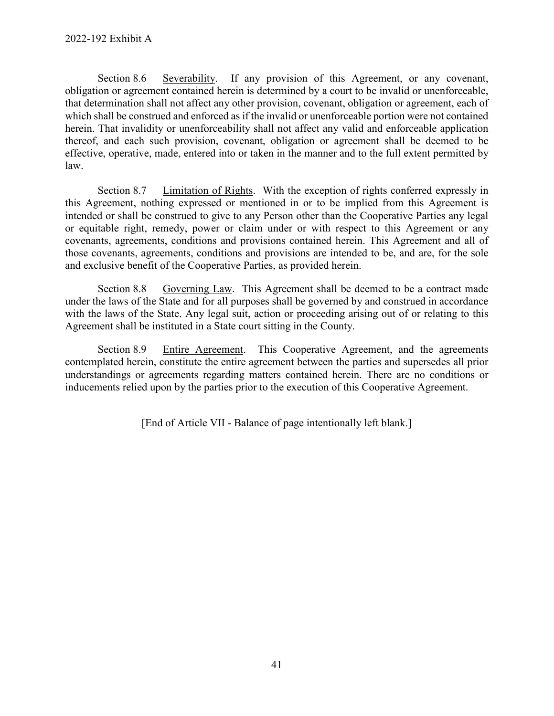Section 8.6 Severability. If any provision of this Agreement, or any covenant, obligation or agreement contained herein is determined by a court to be invalid or unenforceable, that determination shall not affect any other provision, covenant, obligation or agreement, each of which shall be construed and enforced as if the invalid or unenforceable portion were not contained herein. That invalidity or unenforceability shall not affect any valid and enforceable application thereof, and each such provision, covenant, obligation or agreement shall be deemed to be effective, operative, made, entered into or taken in the manner and to the full extent permitted by law.

Section 8.7 Limitation of Rights. With the exception of rights conferred expressly in this Agreement, nothing expressed or mentioned in or to be implied from this Agreement is intended or shall be construed to give to any Person other than the Cooperative Parties any legal or equitable right, remedy, power or claim under or with respect to this Agreement or any covenants, agreements, conditions and provisions contained herein. This Agreement and all of those covenants, agreements, conditions and provisions are intended to be, and are, for the sole and exclusive benefit of the Cooperative Parties, as provided herein.

Section 8.8 Governing Law. This Agreement shall be deemed to be a contract made under the laws of the State and for all purposes shall be governed by and construed in accordance with the laws of the State. Any legal suit, action or proceeding arising out of or relating to this Agreement shall be instituted in a State court sitting in the County.

Section 8.9 Entire Agreement. This Cooperative Agreement, and the agreements contemplated herein, constitute the entire agreement between the parties and supersedes all prior understandings or agreements regarding matters contained herein. There are no conditions or inducements relied upon by the parties prior to the execution of this Cooperative Agreement.

[End of Article VII - Balance of page intentionally left blank.]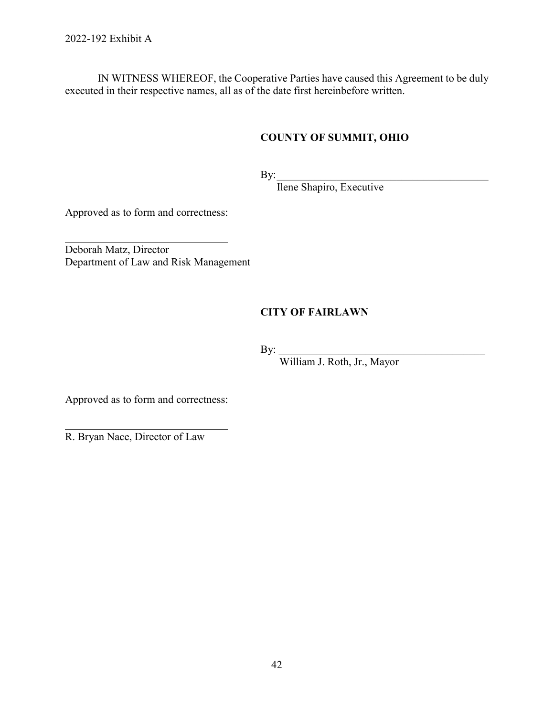IN WITNESS WHEREOF, the Cooperative Parties have caused this Agreement to be duly executed in their respective names, all as of the date first hereinbefore written.

## **COUNTY OF SUMMIT, OHIO**

By:  $\Box$ 

Ilene Shapiro, Executive

Approved as to form and correctness:

Deborah Matz, Director Department of Law and Risk Management

## **CITY OF FAIRLAWN**

 $\mathbf{By:}$ 

William J. Roth, Jr., Mayor

Approved as to form and correctness:

R. Bryan Nace, Director of Law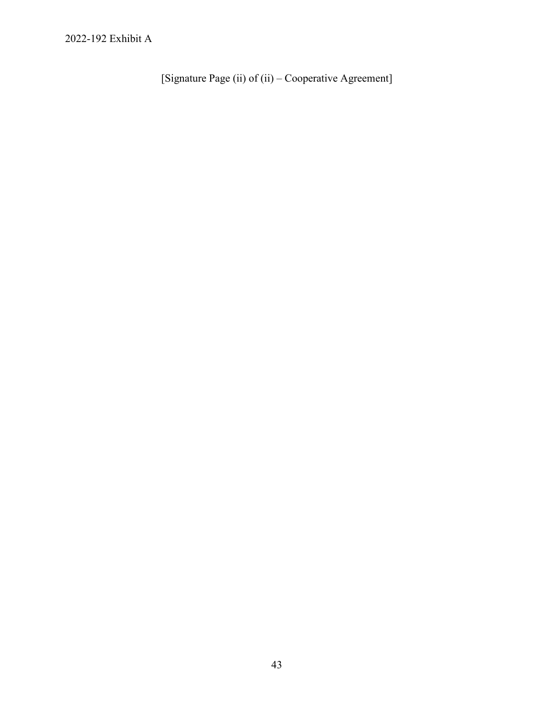[Signature Page (ii) of (ii) – Cooperative Agreement]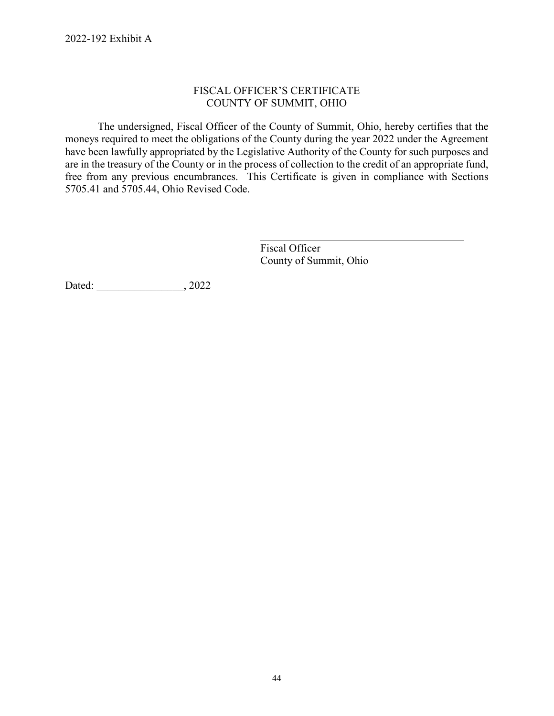## FISCAL OFFICER'S CERTIFICATE COUNTY OF SUMMIT, OHIO

The undersigned, Fiscal Officer of the County of Summit, Ohio, hereby certifies that the moneys required to meet the obligations of the County during the year 2022 under the Agreement have been lawfully appropriated by the Legislative Authority of the County for such purposes and are in the treasury of the County or in the process of collection to the credit of an appropriate fund, free from any previous encumbrances. This Certificate is given in compliance with Sections 5705.41 and 5705.44, Ohio Revised Code.

> Fiscal Officer County of Summit, Ohio

Dated: \_\_\_\_\_\_\_\_\_\_\_\_\_\_\_\_, 2022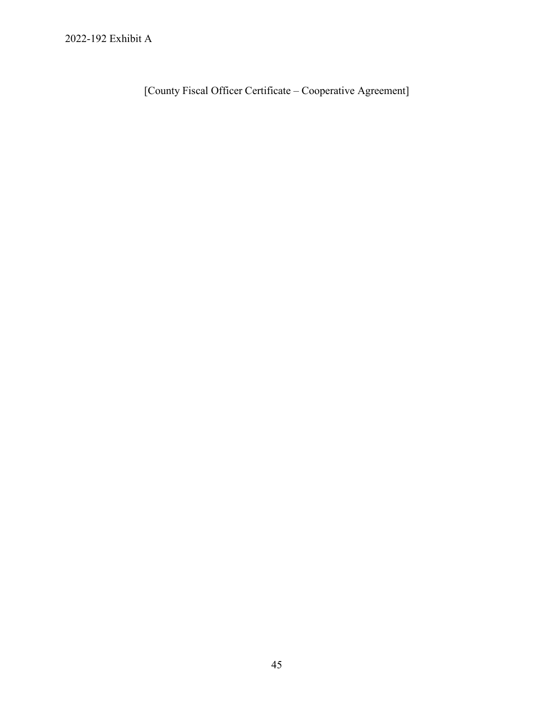2022-192 Exhibit A

[County Fiscal Officer Certificate – Cooperative Agreement]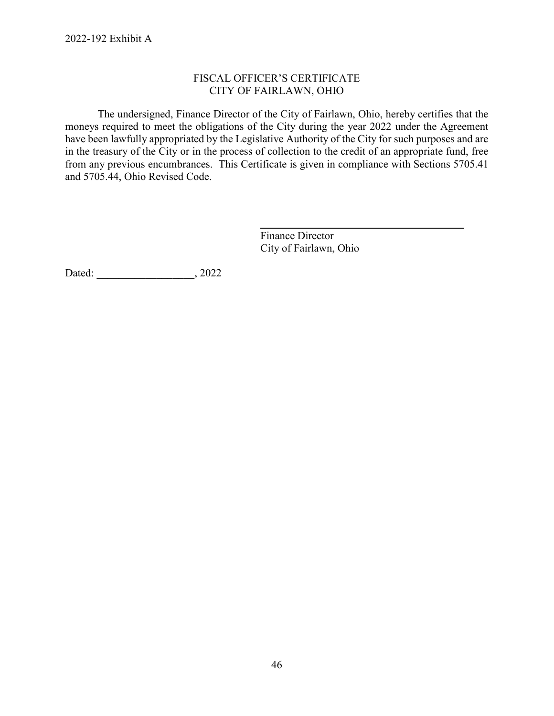## FISCAL OFFICER'S CERTIFICATE CITY OF FAIRLAWN, OHIO

The undersigned, Finance Director of the City of Fairlawn, Ohio, hereby certifies that the moneys required to meet the obligations of the City during the year 2022 under the Agreement have been lawfully appropriated by the Legislative Authority of the City for such purposes and are in the treasury of the City or in the process of collection to the credit of an appropriate fund, free from any previous encumbrances. This Certificate is given in compliance with Sections 5705.41 and 5705.44, Ohio Revised Code.

> Finance Director City of Fairlawn, Ohio

Dated: \_\_\_\_\_\_\_\_\_\_\_\_\_\_\_\_\_\_, 2022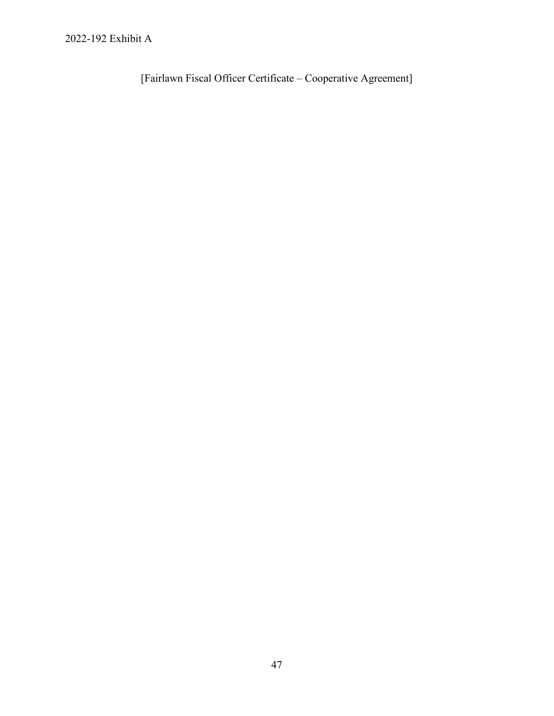2022-192 Exhibit A

[Fairlawn Fiscal Officer Certificate – Cooperative Agreement]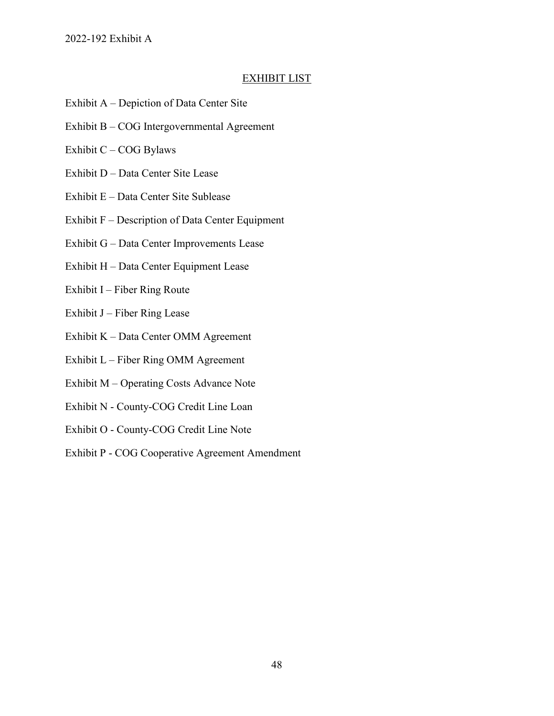#### EXHIBIT LIST

- Exhibit A Depiction of Data Center Site
- Exhibit B COG Intergovernmental Agreement
- Exhibit C COG Bylaws
- Exhibit D Data Center Site Lease
- Exhibit E Data Center Site Sublease
- Exhibit F Description of Data Center Equipment
- Exhibit G Data Center Improvements Lease
- Exhibit H Data Center Equipment Lease
- Exhibit I Fiber Ring Route
- Exhibit J Fiber Ring Lease
- Exhibit K Data Center OMM Agreement
- Exhibit L Fiber Ring OMM Agreement
- Exhibit M Operating Costs Advance Note
- Exhibit N County-COG Credit Line Loan
- Exhibit O County-COG Credit Line Note
- Exhibit P COG Cooperative Agreement Amendment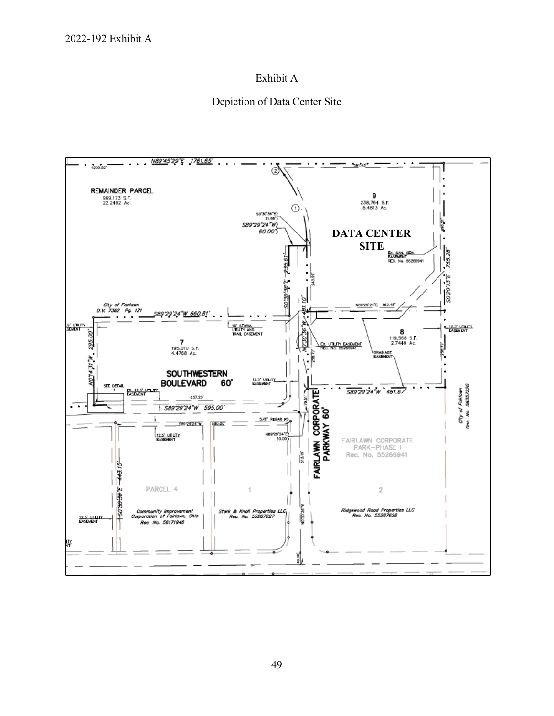#### Exhibit A

#### Depiction of Data Center Site

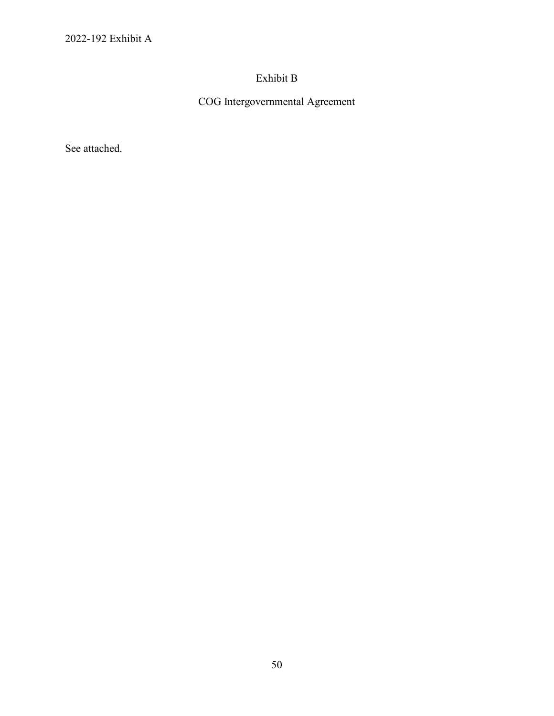## Exhibit B

# COG Intergovernmental Agreement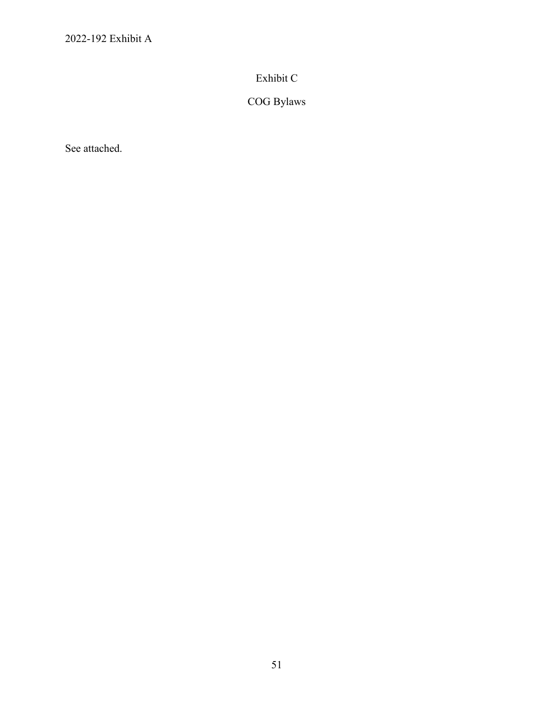## Exhibit C

# COG Bylaws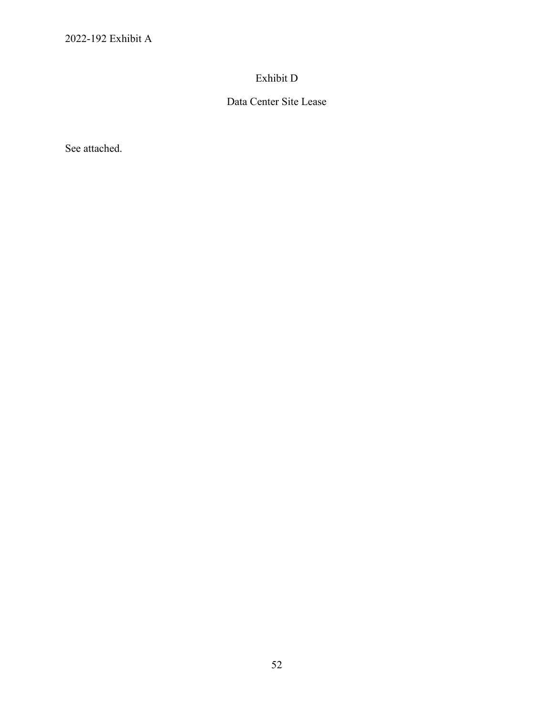## Exhibit D

## Data Center Site Lease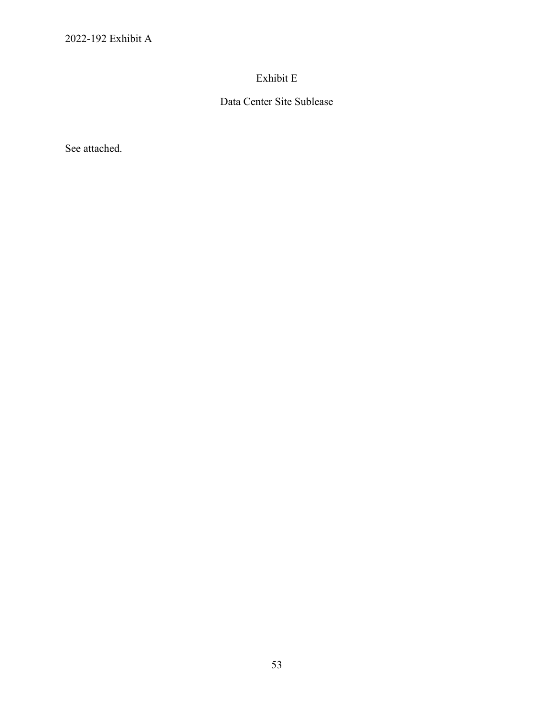## Exhibit E

## Data Center Site Sublease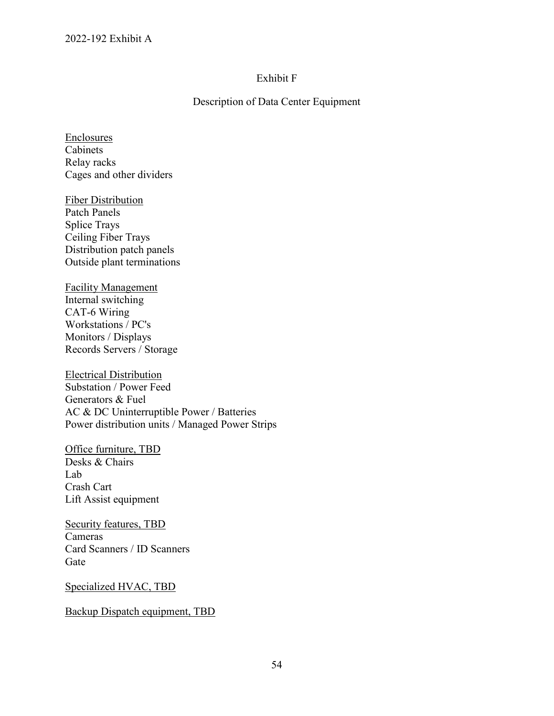## Exhibit F

### Description of Data Center Equipment

Enclosures Cabinets Relay racks Cages and other dividers

Fiber Distribution Patch Panels Splice Trays Ceiling Fiber Trays Distribution patch panels Outside plant terminations

Facility Management Internal switching CAT-6 Wiring Workstations / PC's Monitors / Displays Records Servers / Storage

Electrical Distribution Substation / Power Feed Generators & Fuel AC & DC Uninterruptible Power / Batteries Power distribution units / Managed Power Strips

Office furniture, TBD Desks & Chairs Lab Crash Cart Lift Assist equipment

Security features, TBD Cameras Card Scanners / ID Scanners Gate

#### Specialized HVAC, TBD

Backup Dispatch equipment, TBD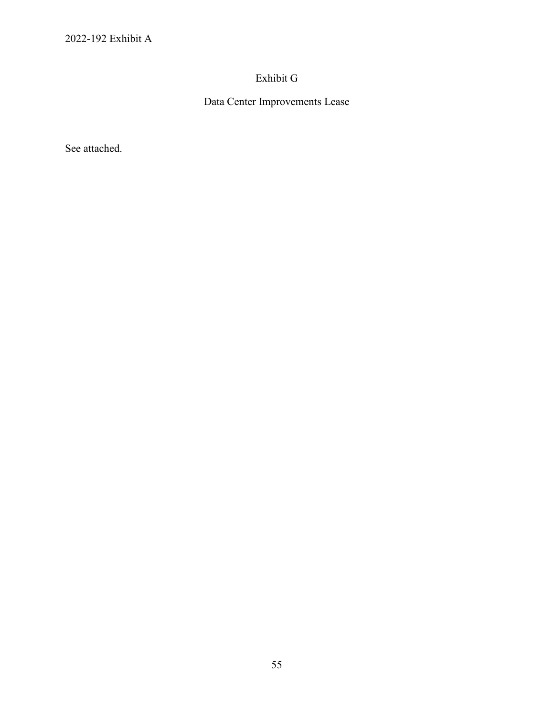# Exhibit G

# Data Center Improvements Lease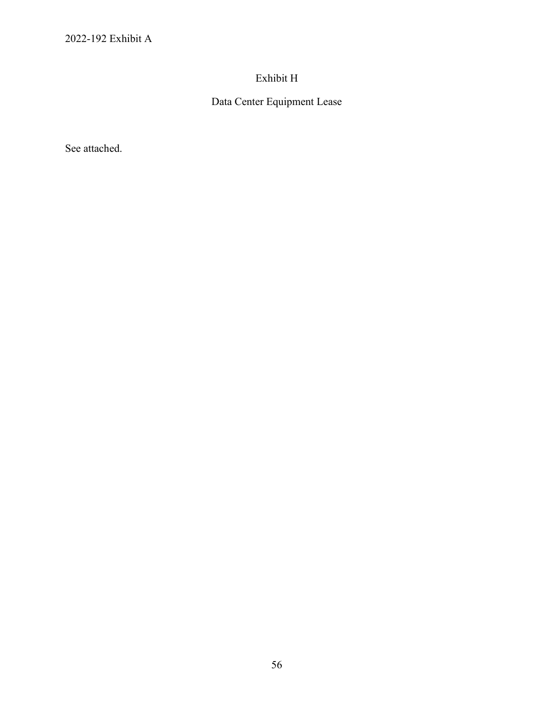## Exhibit H

# Data Center Equipment Lease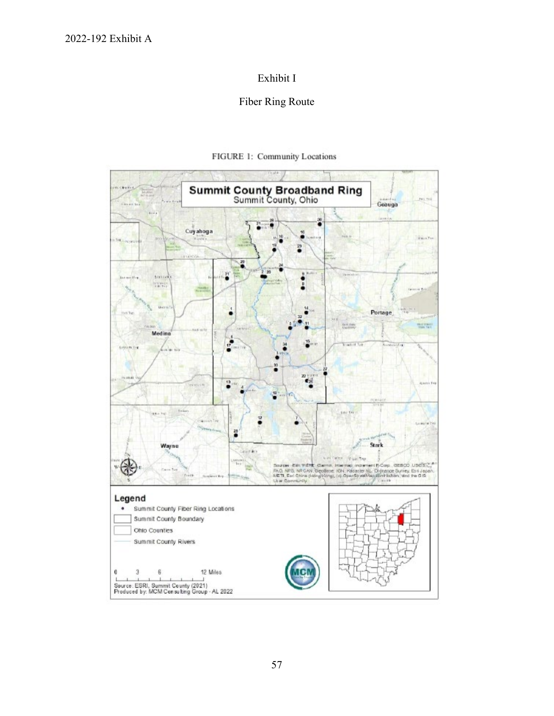## Exhibit I

## Fiber Ring Route



#### FIGURE 1: Community Locations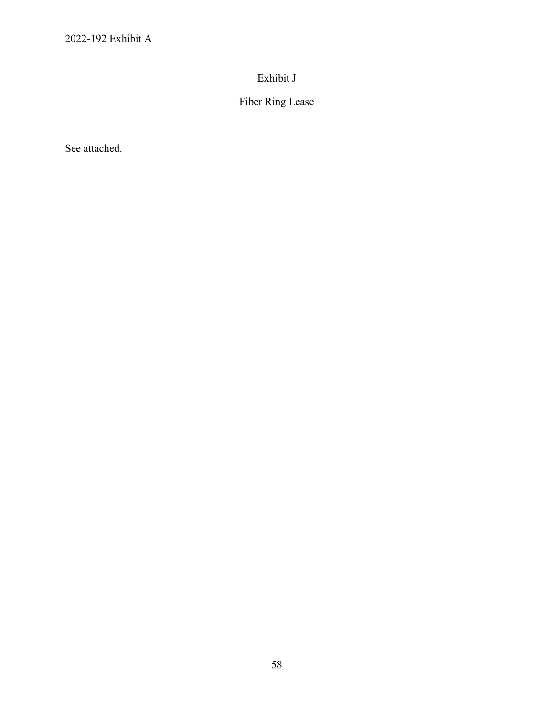## Exhibit J

# Fiber Ring Lease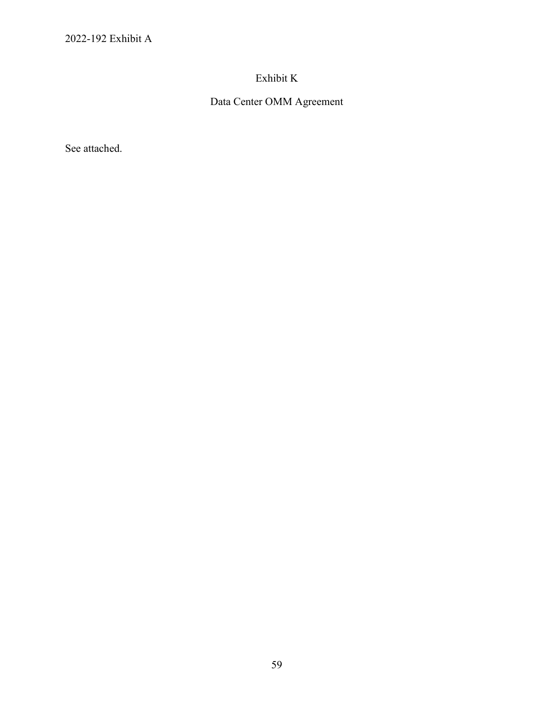## Exhibit K

# Data Center OMM Agreement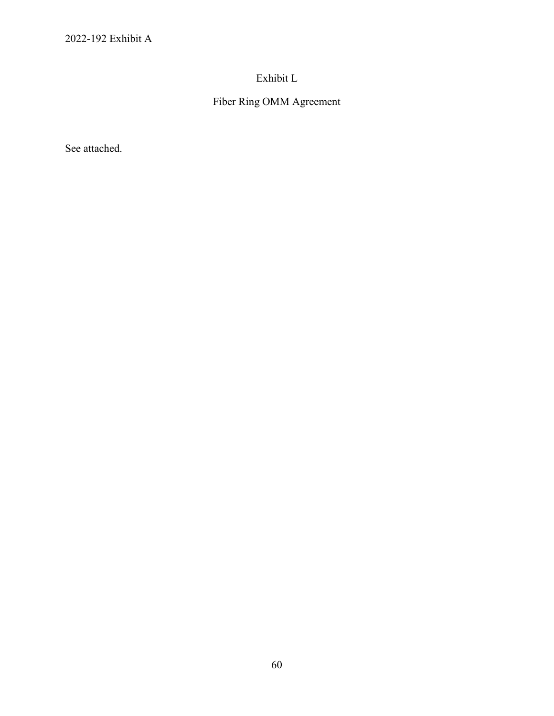## Exhibit L

# Fiber Ring OMM Agreement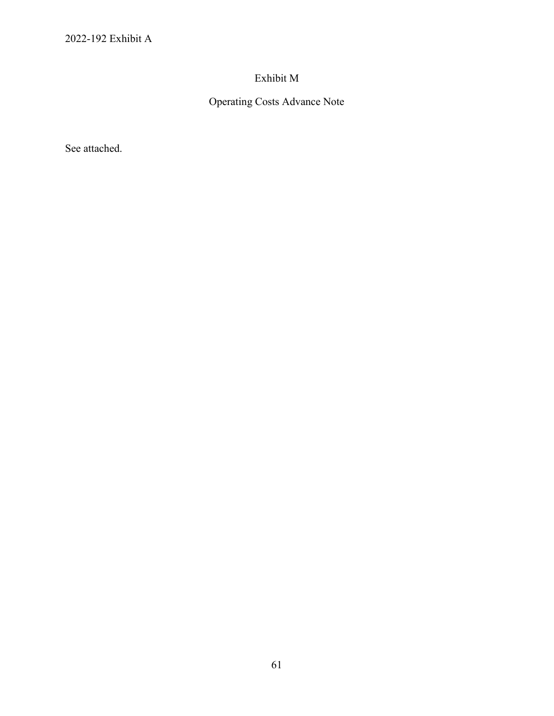## Exhibit M

# Operating Costs Advance Note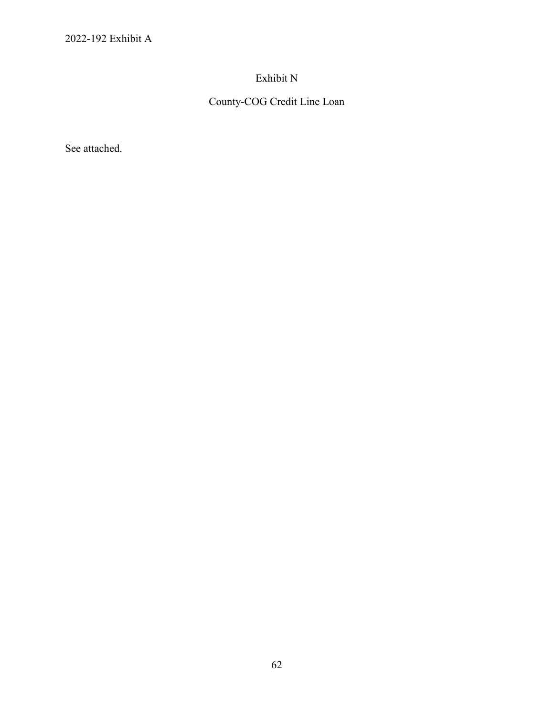## Exhibit N

# County-COG Credit Line Loan